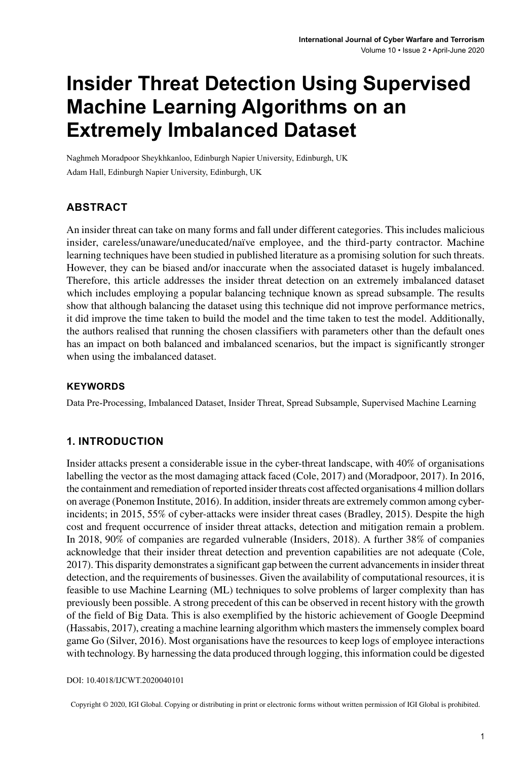# **Insider Threat Detection Using Supervised Machine Learning Algorithms on an Extremely Imbalanced Dataset**

Naghmeh Moradpoor Sheykhkanloo, Edinburgh Napier University, Edinburgh, UK Adam Hall, Edinburgh Napier University, Edinburgh, UK

# **ABSTRACT**

An insider threat can take on many forms and fall under different categories. This includes malicious insider, careless/unaware/uneducated/naïve employee, and the third-party contractor. Machine learning techniques have been studied in published literature as a promising solution for such threats. However, they can be biased and/or inaccurate when the associated dataset is hugely imbalanced. Therefore, this article addresses the insider threat detection on an extremely imbalanced dataset which includes employing a popular balancing technique known as spread subsample. The results show that although balancing the dataset using this technique did not improve performance metrics, it did improve the time taken to build the model and the time taken to test the model. Additionally, the authors realised that running the chosen classifiers with parameters other than the default ones has an impact on both balanced and imbalanced scenarios, but the impact is significantly stronger when using the imbalanced dataset.

#### **Keywords**

Data Pre-Processing, Imbalanced Dataset, Insider Threat, Spread Subsample, Supervised Machine Learning

### **1. INTRODUCTION**

Insider attacks present a considerable issue in the cyber-threat landscape, with 40% of organisations labelling the vector as the most damaging attack faced (Cole, 2017) and (Moradpoor, 2017). In 2016, the containment and remediation of reported insider threats cost affected organisations 4 million dollars on average (Ponemon Institute, 2016). In addition, insider threats are extremely common among cyberincidents; in 2015, 55% of cyber-attacks were insider threat cases (Bradley, 2015). Despite the high cost and frequent occurrence of insider threat attacks, detection and mitigation remain a problem. In 2018, 90% of companies are regarded vulnerable (Insiders, 2018). A further 38% of companies acknowledge that their insider threat detection and prevention capabilities are not adequate (Cole, 2017). This disparity demonstrates a significant gap between the current advancementsin insider threat detection, and the requirements of businesses. Given the availability of computational resources, it is feasible to use Machine Learning (ML) techniques to solve problems of larger complexity than has previously been possible. A strong precedent of this can be observed in recent history with the growth of the field of Big Data. This is also exemplified by the historic achievement of Google Deepmind (Hassabis, 2017), creating a machine learning algorithm which mastersthe immensely complex board game Go (Silver, 2016). Most organisations have the resources to keep logs of employee interactions with technology. By harnessing the data produced through logging, thisinformation could be digested

DOI: 10.4018/IJCWT.2020040101

Copyright © 2020, IGI Global. Copying or distributing in print or electronic forms without written permission of IGI Global is prohibited.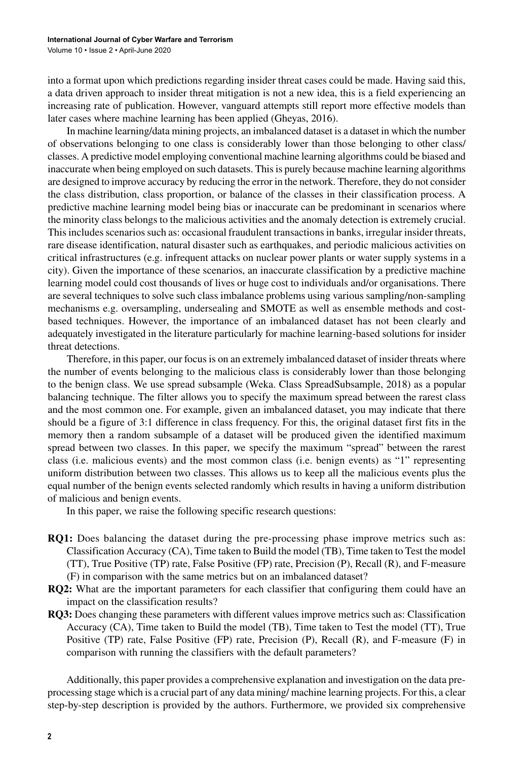into a format upon which predictions regarding insider threat cases could be made. Having said this, a data driven approach to insider threat mitigation is not a new idea, this is a field experiencing an increasing rate of publication. However, vanguard attempts still report more effective models than later cases where machine learning has been applied (Gheyas, 2016).

In machine learning/data mining projects, an imbalanced dataset is a dataset in which the number of observations belonging to one class is considerably lower than those belonging to other class/ classes. A predictive model employing conventional machine learning algorithms could be biased and inaccurate when being employed on such datasets. This is purely because machine learning algorithms are designed to improve accuracy by reducing the error in the network. Therefore, they do not consider the class distribution, class proportion, or balance of the classes in their classification process. A predictive machine learning model being bias or inaccurate can be predominant in scenarios where the minority class belongs to the malicious activities and the anomaly detection is extremely crucial. This includes scenarios such as: occasional fraudulent transactions in banks, irregular insider threats, rare disease identification, natural disaster such as earthquakes, and periodic malicious activities on critical infrastructures (e.g. infrequent attacks on nuclear power plants or water supply systems in a city). Given the importance of these scenarios, an inaccurate classification by a predictive machine learning model could cost thousands of lives or huge cost to individuals and/or organisations. There are several techniques to solve such class imbalance problems using various sampling/non-sampling mechanisms e.g. oversampling, undersealing and SMOTE as well as ensemble methods and costbased techniques. However, the importance of an imbalanced dataset has not been clearly and adequately investigated in the literature particularly for machine learning-based solutions for insider threat detections.

Therefore, in this paper, our focusis on an extremely imbalanced dataset of insider threats where the number of events belonging to the malicious class is considerably lower than those belonging to the benign class. We use spread subsample (Weka. Class SpreadSubsample, 2018) as a popular balancing technique. The filter allows you to specify the maximum spread between the rarest class and the most common one. For example, given an imbalanced dataset, you may indicate that there should be a figure of 3:1 difference in class frequency. For this, the original dataset first fits in the memory then a random subsample of a dataset will be produced given the identified maximum spread between two classes. In this paper, we specify the maximum "spread" between the rarest class (i.e. malicious events) and the most common class (i.e. benign events) as "1" representing uniform distribution between two classes. This allows us to keep all the malicious events plus the equal number of the benign events selected randomly which results in having a uniform distribution of malicious and benign events.

In this paper, we raise the following specific research questions:

- **RQ1:** Does balancing the dataset during the pre-processing phase improve metrics such as: Classification Accuracy (CA), Time taken to Build the model (TB), Time taken to Test the model (TT), True Positive (TP) rate, False Positive (FP) rate, Precision (P), Recall (R), and F-measure (F) in comparison with the same metrics but on an imbalanced dataset?
- **RQ2:** What are the important parameters for each classifier that configuring them could have an impact on the classification results?
- **RQ3:** Does changing these parameters with different values improve metrics such as: Classification Accuracy (CA), Time taken to Build the model (TB), Time taken to Test the model (TT), True Positive (TP) rate, False Positive (FP) rate, Precision (P), Recall (R), and F-measure (F) in comparison with running the classifiers with the default parameters?

Additionally, this paper provides a comprehensive explanation and investigation on the data preprocessing stage which is a crucial part of any data mining/ machine learning projects. For this, a clear step-by-step description is provided by the authors. Furthermore, we provided six comprehensive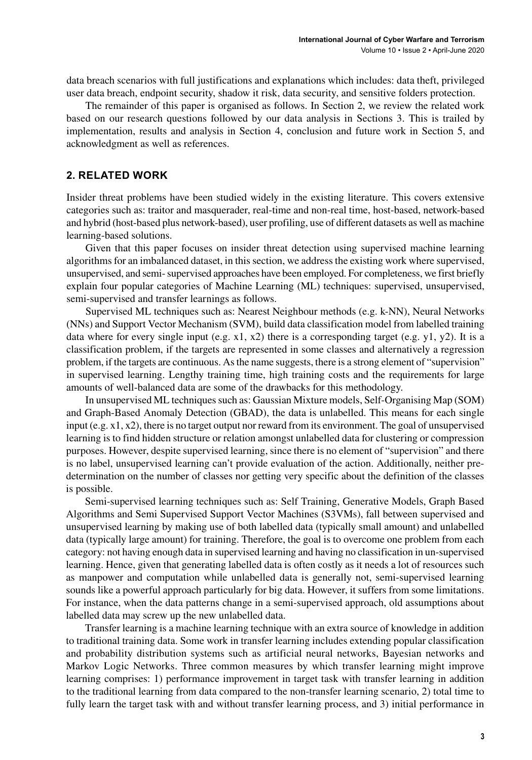data breach scenarios with full justifications and explanations which includes: data theft, privileged user data breach, endpoint security, shadow it risk, data security, and sensitive folders protection.

The remainder of this paper is organised as follows. In Section 2, we review the related work based on our research questions followed by our data analysis in Sections 3. This is trailed by implementation, results and analysis in Section 4, conclusion and future work in Section 5, and acknowledgment as well as references.

#### **2. RELATED WORK**

Insider threat problems have been studied widely in the existing literature. This covers extensive categories such as: traitor and masquerader, real-time and non-real time, host-based, network-based and hybrid (host-based plus network-based), user profiling, use of different datasets as well as machine learning-based solutions.

Given that this paper focuses on insider threat detection using supervised machine learning algorithms for an imbalanced dataset, in this section, we address the existing work where supervised, unsupervised, and semi-supervised approaches have been employed. For completeness, we first briefly explain four popular categories of Machine Learning (ML) techniques: supervised, unsupervised, semi-supervised and transfer learnings as follows.

Supervised ML techniques such as: Nearest Neighbour methods (e.g. k-NN), Neural Networks (NNs) and Support Vector Mechanism (SVM), build data classification model from labelled training data where for every single input (e.g. x1, x2) there is a corresponding target (e.g. y1, y2). It is a classification problem, if the targets are represented in some classes and alternatively a regression problem, if the targets are continuous. Asthe name suggests, there is a strong element of "supervision" in supervised learning. Lengthy training time, high training costs and the requirements for large amounts of well-balanced data are some of the drawbacks for this methodology.

In unsupervised ML techniques such as: Gaussian Mixture models, Self-Organising Map (SOM) and Graph-Based Anomaly Detection (GBAD), the data is unlabelled. This means for each single input (e.g. x1, x2), there is no target output nor reward from its environment. The goal of unsupervised learning is to find hidden structure or relation amongst unlabelled data for clustering or compression purposes. However, despite supervised learning, since there is no element of "supervision" and there is no label, unsupervised learning can't provide evaluation of the action. Additionally, neither predetermination on the number of classes nor getting very specific about the definition of the classes is possible.

Semi-supervised learning techniques such as: Self Training, Generative Models, Graph Based Algorithms and Semi Supervised Support Vector Machines (S3VMs), fall between supervised and unsupervised learning by making use of both labelled data (typically small amount) and unlabelled data (typically large amount) for training. Therefore, the goal is to overcome one problem from each category: not having enough data in supervised learning and having no classification in un-supervised learning. Hence, given that generating labelled data is often costly as it needs a lot of resources such as manpower and computation while unlabelled data is generally not, semi-supervised learning sounds like a powerful approach particularly for big data. However, it suffers from some limitations. For instance, when the data patterns change in a semi-supervised approach, old assumptions about labelled data may screw up the new unlabelled data.

Transfer learning is a machine learning technique with an extra source of knowledge in addition to traditional training data. Some work in transfer learning includes extending popular classification and probability distribution systems such as artificial neural networks, Bayesian networks and Markov Logic Networks. Three common measures by which transfer learning might improve learning comprises: 1) performance improvement in target task with transfer learning in addition to the traditional learning from data compared to the non-transfer learning scenario, 2) total time to fully learn the target task with and without transfer learning process, and 3) initial performance in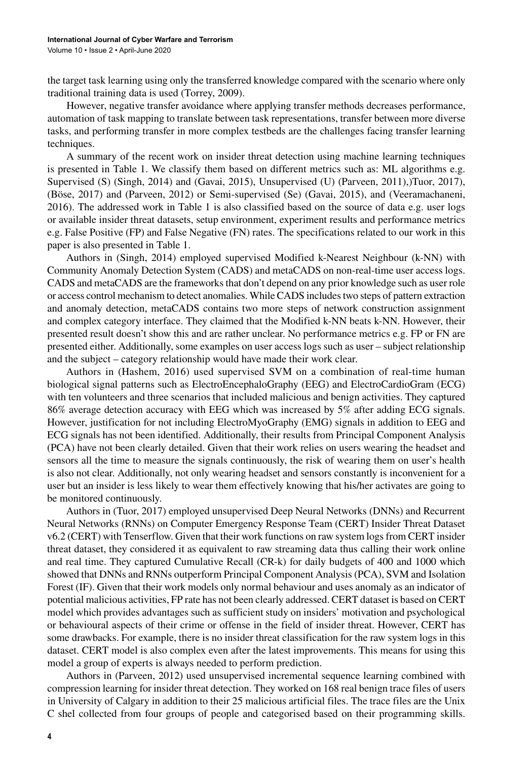the target task learning using only the transferred knowledge compared with the scenario where only traditional training data is used (Torrey, 2009).

However, negative transfer avoidance where applying transfer methods decreases performance, automation of task mapping to translate between task representations, transfer between more diverse tasks, and performing transfer in more complex testbeds are the challenges facing transfer learning techniques.

A summary of the recent work on insider threat detection using machine learning techniques is presented in Table 1. We classify them based on different metrics such as: ML algorithms e.g. Supervised (S) (Singh, 2014) and (Gavai, 2015), Unsupervised (U) (Parveen, 2011),)Tuor, 2017), (Böse, 2017) and (Parveen, 2012) or Semi-supervised (Se) (Gavai, 2015), and (Veeramachaneni, 2016). The addressed work in Table 1 is also classified based on the source of data e.g. user logs or available insider threat datasets, setup environment, experiment results and performance metrics e.g. False Positive (FP) and False Negative (FN) rates. The specifications related to our work in this paper is also presented in Table 1.

Authors in (Singh, 2014) employed supervised Modified k-Nearest Neighbour (k-NN) with Community Anomaly Detection System (CADS) and metaCADS on non-real-time user access logs. CADS and metaCADS are the frameworksthat don't depend on any prior knowledge such as user role or access control mechanism to detect anomalies. While CADS includestwo steps of pattern extraction and anomaly detection, metaCADS contains two more steps of network construction assignment and complex category interface. They claimed that the Modified k-NN beats k-NN. However, their presented result doesn't show this and are rather unclear. No performance metrics e.g. FP or FN are presented either. Additionally, some examples on user access logs such as user – subject relationship and the subject – category relationship would have made their work clear.

Authors in (Hashem, 2016) used supervised SVM on a combination of real-time human biological signal patterns such as ElectroEncephaloGraphy (EEG) and ElectroCardioGram (ECG) with ten volunteers and three scenarios that included malicious and benign activities. They captured 86% average detection accuracy with EEG which was increased by 5% after adding ECG signals. However, justification for not including ElectroMyoGraphy (EMG) signals in addition to EEG and ECG signals has not been identified. Additionally, their results from Principal Component Analysis (PCA) have not been clearly detailed. Given that their work relies on users wearing the headset and sensors all the time to measure the signals continuously, the risk of wearing them on user's health is also not clear. Additionally, not only wearing headset and sensors constantly is inconvenient for a user but an insider is less likely to wear them effectively knowing that his/her activates are going to be monitored continuously.

Authors in (Tuor, 2017) employed unsupervised Deep Neural Networks (DNNs) and Recurrent Neural Networks (RNNs) on Computer Emergency Response Team (CERT) Insider Threat Dataset v6.2 (CERT) with Tenserflow. Given that their work functions on raw system logsfrom CERT insider threat dataset, they considered it as equivalent to raw streaming data thus calling their work online and real time. They captured Cumulative Recall (CR-k) for daily budgets of 400 and 1000 which showed that DNNs and RNNs outperform Principal Component Analysis (PCA), SVM and Isolation Forest (IF). Given that their work models only normal behaviour and uses anomaly as an indicator of potential malicious activities, FP rate has not been clearly addressed. CERT dataset is based on CERT model which provides advantages such as sufficient study on insiders' motivation and psychological or behavioural aspects of their crime or offense in the field of insider threat. However, CERT has some drawbacks. For example, there is no insider threat classification for the raw system logs in this dataset. CERT model is also complex even after the latest improvements. This means for using this model a group of experts is always needed to perform prediction.

Authors in (Parveen, 2012) used unsupervised incremental sequence learning combined with compression learning for insider threat detection. They worked on 168 real benign trace files of users in University of Calgary in addition to their 25 malicious artificial files. The trace files are the Unix C shel collected from four groups of people and categorised based on their programming skills.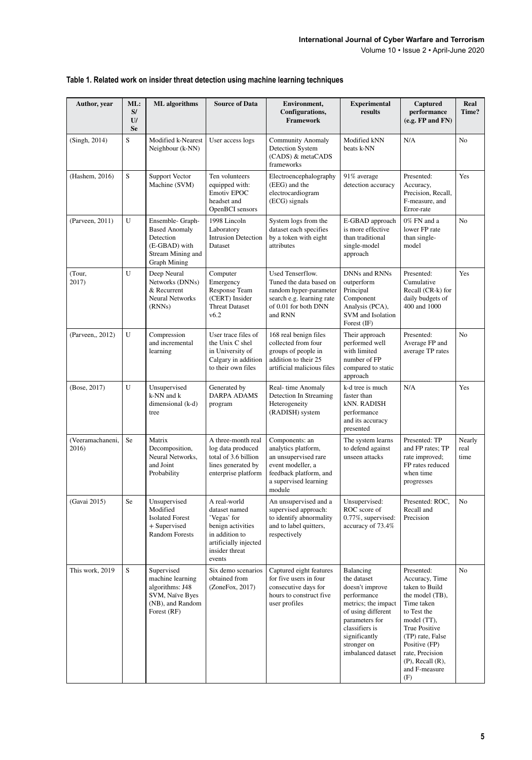Volume 10 • Issue 2 • April-June 2020

| Author, year              | ML:<br>S/<br>U<br><b>Se</b> | <b>ML</b> algorithms                                                                                            | <b>Source of Data</b>                                                                                                                    | Environment,<br>Configurations,<br>Framework                                                                                                    | <b>Experimental</b><br>results                                                                                                                                                                    | Captured<br>performance<br>(e.g. FP and FN)                                                                                                                                                                                                     | Real<br>Time?          |
|---------------------------|-----------------------------|-----------------------------------------------------------------------------------------------------------------|------------------------------------------------------------------------------------------------------------------------------------------|-------------------------------------------------------------------------------------------------------------------------------------------------|---------------------------------------------------------------------------------------------------------------------------------------------------------------------------------------------------|-------------------------------------------------------------------------------------------------------------------------------------------------------------------------------------------------------------------------------------------------|------------------------|
| (Singh, 2014)             | S                           | Modified k-Nearest<br>Neighbour (k-NN)                                                                          | User access logs                                                                                                                         | <b>Community Anomaly</b><br>Detection System<br>(CADS) & metaCADS<br>frameworks                                                                 | Modified kNN<br>beats k-NN                                                                                                                                                                        | N/A                                                                                                                                                                                                                                             | N <sub>o</sub>         |
| (Hashem, 2016)            | S                           | Support Vector<br>Machine (SVM)                                                                                 | Ten volunteers<br>equipped with:<br>Emotiv EPOC<br>headset and<br>OpenBCI sensors                                                        | Electroencephalography<br>(EEG) and the<br>electrocardiogram<br>(ECG) signals                                                                   | 91% average<br>detection accuracy                                                                                                                                                                 | Presented:<br>Accuracy,<br>Precision, Recall,<br>F-measure, and<br>Error-rate                                                                                                                                                                   | Yes                    |
| (Parveen, 2011)           | U                           | Ensemble- Graph-<br><b>Based Anomaly</b><br>Detection<br>(E-GBAD) with<br>Stream Mining and<br>Graph Mining     | 1998 Lincoln<br>Laboratory<br><b>Intrusion Detection</b><br>Dataset                                                                      | System logs from the<br>dataset each specifies<br>by a token with eight<br>attributes                                                           | E-GBAD approach<br>is more effective<br>than traditional<br>single-model<br>approach                                                                                                              | 0% FN and a<br>lower FP rate<br>than single-<br>model                                                                                                                                                                                           | N <sub>o</sub>         |
| (Tour,<br>2017)           | U                           | Deep Neural<br>Networks (DNNs)<br>& Recurrent<br>Neural Networks<br>(RNNs)                                      | Computer<br>Emergency<br>Response Team<br>(CERT) Insider<br><b>Threat Dataset</b><br>v6.2                                                | Used Tenserflow.<br>Tuned the data based on<br>random hyper-parameter<br>search e.g. learning rate<br>of 0.01 for both DNN<br>and RNN           | DNNs and RNNs<br>outperform<br>Principal<br>Component<br>Analysis (PCA),<br>SVM and Isolation<br>Forest (IF)                                                                                      | Presented:<br>Cumulative<br>Recall (CR-k) for<br>daily budgets of<br>400 and 1000                                                                                                                                                               | Yes                    |
| (Parveen,, 2012)          | U                           | Compression<br>and incremental<br>learning                                                                      | User trace files of<br>the Unix C shel<br>in University of<br>Calgary in addition<br>to their own files                                  | 168 real benign files<br>collected from four<br>groups of people in<br>addition to their 25<br>artificial malicious files                       | Their approach<br>performed well<br>with limited<br>number of FP<br>compared to static<br>approach                                                                                                | Presented:<br>Average FP and<br>average TP rates                                                                                                                                                                                                | N <sub>o</sub>         |
| (Bose, 2017)              | U                           | Unsupervised<br>k-NN and k<br>dimensional (k-d)<br>tree                                                         | Generated by<br>DARPA ADAMS<br>program                                                                                                   | Real-time Anomaly<br>Detection In Streaming<br>Heterogeneity<br>(RADISH) system                                                                 | k-d tree is much<br>faster than<br>kNN. RADISH<br>performance<br>and its accuracy<br>presented                                                                                                    | N/A                                                                                                                                                                                                                                             | Yes                    |
| (Veeramachaneni,<br>2016) | Se                          | Matrix<br>Decomposition,<br>Neural Networks,<br>and Joint<br>Probability                                        | A three-month real<br>log data produced<br>total of 3.6 billion<br>lines generated by<br>enterprise platform                             | Components: an<br>analytics platform,<br>an unsupervised rare<br>event modeller, a<br>feedback platform, and<br>a supervised learning<br>module | The system learns<br>to defend against<br>unseen attacks                                                                                                                                          | Presented: TP<br>and FP rates; TP<br>rate improved;<br>FP rates reduced<br>when time<br>progresses                                                                                                                                              | Nearly<br>real<br>time |
| (Gavai 2015)              | Se                          | Unsupervised<br>Modified<br><b>Isolated Forest</b><br>+ Supervised<br><b>Random Forests</b>                     | A real-world<br>dataset named<br>'Vegas' for<br>benign activities<br>in addition to<br>artificially injected<br>insider threat<br>events | An unsupervised and a<br>supervised approach:<br>to identify abnormality<br>and to label quitters,<br>respectively                              | Unsupervised:<br>ROC score of<br>0.77%, supervised:<br>accuracy of 73.4%                                                                                                                          | Presented: ROC,<br>Recall and<br>Precision                                                                                                                                                                                                      | N <sub>o</sub>         |
| This work, 2019           | $\bar{s}$                   | ${\bf Supervised}$<br>machine learning<br>algorithms: J48<br>SVM, Naïve Byes<br>(NB), and Random<br>Forest (RF) | Six demo scenarios<br>obtained from<br>(ZoneFox, 2017)                                                                                   | Captured eight features<br>for five users in four<br>consecutive days for<br>hours to construct five<br>user profiles                           | Balancing<br>the dataset<br>doesn't improve<br>performance<br>metrics; the impact<br>of using different<br>parameters for<br>classifiers is<br>significantly<br>stronger on<br>imbalanced dataset | Presented:<br>Accuracy, Time<br>taken to Build<br>the model (TB),<br>Time taken<br>to Test the<br>model (TT),<br><b>True Positive</b><br>(TP) rate, False<br>Positive (FP)<br>rate, Precision<br>$(P)$ , Recall $(R)$ ,<br>and F-measure<br>(F) | No                     |

#### **Table 1. Related work on insider threat detection using machine learning techniques**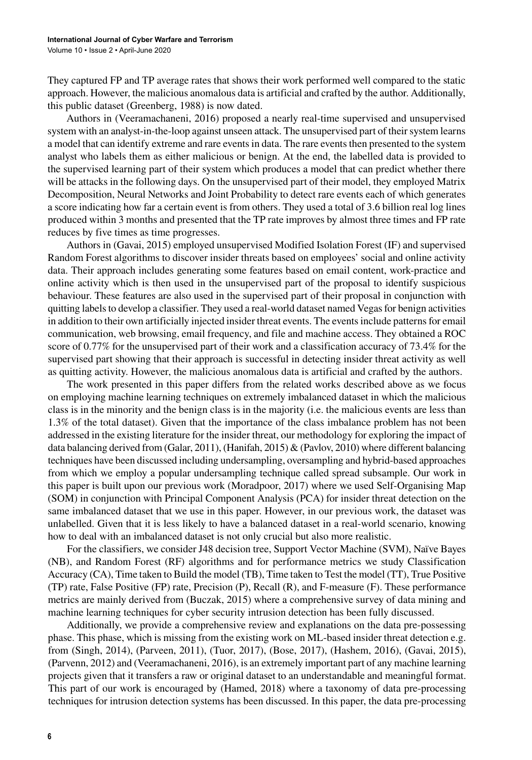They captured FP and TP average rates that shows their work performed well compared to the static approach. However, the malicious anomalous data is artificial and crafted by the author. Additionally, this public dataset (Greenberg, 1988) is now dated.

Authors in (Veeramachaneni, 2016) proposed a nearly real-time supervised and unsupervised system with an analyst-in-the-loop against unseen attack. The unsupervised part of their system learns a model that can identify extreme and rare events in data. The rare events then presented to the system analyst who labels them as either malicious or benign. At the end, the labelled data is provided to the supervised learning part of their system which produces a model that can predict whether there will be attacks in the following days. On the unsupervised part of their model, they employed Matrix Decomposition, Neural Networks and Joint Probability to detect rare events each of which generates a score indicating how far a certain event is from others. They used a total of 3.6 billion real log lines produced within 3 months and presented that the TP rate improves by almost three times and FP rate reduces by five times as time progresses.

Authors in (Gavai, 2015) employed unsupervised Modified Isolation Forest (IF) and supervised Random Forest algorithms to discover insider threats based on employees' social and online activity data. Their approach includes generating some features based on email content, work-practice and online activity which is then used in the unsupervised part of the proposal to identify suspicious behaviour. These features are also used in the supervised part of their proposal in conjunction with quitting labels to develop a classifier. They used a real-world dataset named Vegas for benign activities in addition to their own artificially injected insider threat events. The events include patterns for email communication, web browsing, email frequency, and file and machine access. They obtained a ROC score of 0.77% for the unsupervised part of their work and a classification accuracy of 73.4% for the supervised part showing that their approach is successful in detecting insider threat activity as well as quitting activity. However, the malicious anomalous data is artificial and crafted by the authors.

The work presented in this paper differs from the related works described above as we focus on employing machine learning techniques on extremely imbalanced dataset in which the malicious class is in the minority and the benign class is in the majority (i.e. the malicious events are less than 1.3% of the total dataset). Given that the importance of the class imbalance problem has not been addressed in the existing literature for the insider threat, our methodology for exploring the impact of data balancing derived from (Galar, 2011), (Hanifah, 2015) & (Pavlov, 2010) where different balancing techniques have been discussed including undersampling, oversampling and hybrid-based approaches from which we employ a popular undersampling technique called spread subsample. Our work in this paper is built upon our previous work (Moradpoor, 2017) where we used Self-Organising Map (SOM) in conjunction with Principal Component Analysis (PCA) for insider threat detection on the same imbalanced dataset that we use in this paper. However, in our previous work, the dataset was unlabelled. Given that it is less likely to have a balanced dataset in a real-world scenario, knowing how to deal with an imbalanced dataset is not only crucial but also more realistic.

For the classifiers, we consider J48 decision tree, Support Vector Machine (SVM), Naïve Bayes (NB), and Random Forest (RF) algorithms and for performance metrics we study Classification Accuracy (CA), Time taken to Build the model (TB), Time taken to Test the model (TT), True Positive (TP) rate, False Positive (FP) rate, Precision (P), Recall (R), and F-measure (F). These performance metrics are mainly derived from (Buczak, 2015) where a comprehensive survey of data mining and machine learning techniques for cyber security intrusion detection has been fully discussed.

Additionally, we provide a comprehensive review and explanations on the data pre-possessing phase. This phase, which is missing from the existing work on ML-based insider threat detection e.g. from (Singh, 2014), (Parveen, 2011), (Tuor, 2017), (Bose, 2017), (Hashem, 2016), (Gavai, 2015), (Parvenn, 2012) and (Veeramachaneni, 2016), is an extremely important part of any machine learning projects given that it transfers a raw or original dataset to an understandable and meaningful format. This part of our work is encouraged by (Hamed, 2018) where a taxonomy of data pre-processing techniques for intrusion detection systems has been discussed. In this paper, the data pre-processing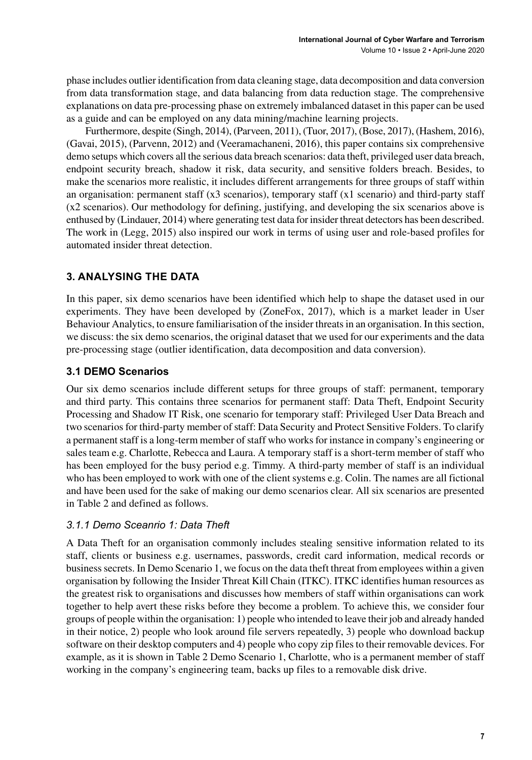phase includes outlier identification from data cleaning stage, data decomposition and data conversion from data transformation stage, and data balancing from data reduction stage. The comprehensive explanations on data pre-processing phase on extremely imbalanced dataset in this paper can be used as a guide and can be employed on any data mining/machine learning projects.

Furthermore, despite (Singh, 2014), (Parveen, 2011), (Tuor, 2017), (Bose, 2017), (Hashem, 2016), (Gavai, 2015), (Parvenn, 2012) and (Veeramachaneni, 2016), this paper contains six comprehensive demo setups which covers all the serious data breach scenarios: data theft, privileged user data breach, endpoint security breach, shadow it risk, data security, and sensitive folders breach. Besides, to make the scenarios more realistic, it includes different arrangements for three groups of staff within an organisation: permanent staff (x3 scenarios), temporary staff (x1 scenario) and third-party staff (x2 scenarios). Our methodology for defining, justifying, and developing the six scenarios above is enthused by (Lindauer, 2014) where generating test data for insider threat detectors has been described. The work in (Legg, 2015) also inspired our work in terms of using user and role-based profiles for automated insider threat detection.

# **3. ANALYSING THE DATA**

In this paper, six demo scenarios have been identified which help to shape the dataset used in our experiments. They have been developed by (ZoneFox, 2017), which is a market leader in User Behaviour Analytics, to ensure familiarisation of the insider threatsin an organisation. In thissection, we discuss: the six demo scenarios, the original dataset that we used for our experiments and the data pre-processing stage (outlier identification, data decomposition and data conversion).

# **3.1 DEMO Scenarios**

Our six demo scenarios include different setups for three groups of staff: permanent, temporary and third party. This contains three scenarios for permanent staff: Data Theft, Endpoint Security Processing and Shadow IT Risk, one scenario for temporary staff: Privileged User Data Breach and two scenarios for third-party member of staff: Data Security and Protect Sensitive Folders. To clarify a permanent staff is a long-term member of staff who works for instance in company's engineering or sales team e.g. Charlotte, Rebecca and Laura. A temporary staff is a short-term member of staff who has been employed for the busy period e.g. Timmy. A third-party member of staff is an individual who has been employed to work with one of the client systems e.g. Colin. The names are all fictional and have been used for the sake of making our demo scenarios clear. All six scenarios are presented in Table 2 and defined as follows.

# *3.1.1 Demo Sceanrio 1: Data Theft*

A Data Theft for an organisation commonly includes stealing sensitive information related to its staff, clients or business e.g. usernames, passwords, credit card information, medical records or businesssecrets. In Demo Scenario 1, we focus on the data theft threat from employees within a given organisation by following the Insider Threat Kill Chain (ITKC). ITKC identifies human resources as the greatest risk to organisations and discusses how members of staff within organisations can work together to help avert these risks before they become a problem. To achieve this, we consider four groups of people within the organisation: 1) people who intended to leave their job and already handed in their notice, 2) people who look around file servers repeatedly, 3) people who download backup software on their desktop computers and 4) people who copy zip filesto their removable devices. For example, as it is shown in Table 2 Demo Scenario 1, Charlotte, who is a permanent member of staff working in the company's engineering team, backs up files to a removable disk drive.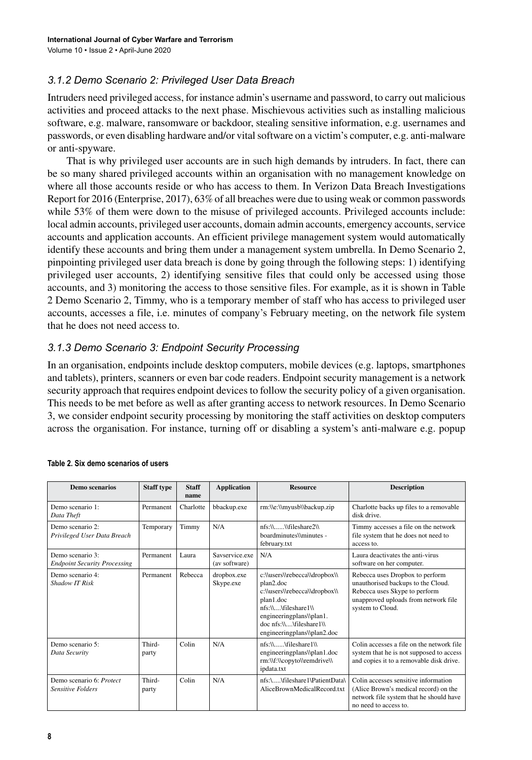## *3.1.2 Demo Scenario 2: Privileged User Data Breach*

Intruders need privileged access, for instance admin's username and password, to carry out malicious activities and proceed attacks to the next phase. Mischievous activities such as installing malicious software, e.g. malware, ransomware or backdoor, stealing sensitive information, e.g. usernames and passwords, or even disabling hardware and/or vital software on a victim's computer, e.g. anti-malware or anti-spyware.

That is why privileged user accounts are in such high demands by intruders. In fact, there can be so many shared privileged accounts within an organisation with no management knowledge on where all those accounts reside or who has access to them. In Verizon Data Breach Investigations Report for 2016 (Enterprise, 2017), 63% of all breaches were due to using weak or common passwords while 53% of them were down to the misuse of privileged accounts. Privileged accounts include: local admin accounts, privileged user accounts, domain admin accounts, emergency accounts, service accounts and application accounts. An efficient privilege management system would automatically identify these accounts and bring them under a management system umbrella. In Demo Scenario 2, pinpointing privileged user data breach is done by going through the following steps: 1) identifying privileged user accounts, 2) identifying sensitive files that could only be accessed using those accounts, and 3) monitoring the access to those sensitive files. For example, as it is shown in Table 2 Demo Scenario 2, Timmy, who is a temporary member of staff who has access to privileged user accounts, accesses a file, i.e. minutes of company's February meeting, on the network file system that he does not need access to.

#### *3.1.3 Demo Scenario 3: Endpoint Security Processing*

In an organisation, endpoints include desktop computers, mobile devices (e.g. laptops, smartphones and tablets), printers, scanners or even bar code readers. Endpoint security management is a network security approach that requires endpoint devices to follow the security policy of a given organisation. This needs to be met before as well as after granting access to network resources. In Demo Scenario 3, we consider endpoint security processing by monitoring the staff activities on desktop computers across the organisation. For instance, turning off or disabling a system's anti-malware e.g. popup

| Demo scenarios                                          | <b>Staff type</b> | <b>Staff</b><br>name | <b>Application</b>              | <b>Resource</b>                                                                                                                                                                                       | <b>Description</b>                                                                                                                                                 |
|---------------------------------------------------------|-------------------|----------------------|---------------------------------|-------------------------------------------------------------------------------------------------------------------------------------------------------------------------------------------------------|--------------------------------------------------------------------------------------------------------------------------------------------------------------------|
| Demo scenario 1:<br>Data Theft                          | Permanent         | Charlotte            | bbackup.exe                     | rm:\\e:\\myusb\\backup.zip                                                                                                                                                                            | Charlotte backs up files to a removable<br>disk drive.                                                                                                             |
| Demo scenario 2:<br>Privileged User Data Breach         | Temporary         | Timmy                | N/A                             | nfs:\\ \\fileshare2\\<br>hoardminutes\\minutes -<br>february.txt                                                                                                                                      | Timmy accesses a file on the network<br>file system that he does not need to<br>access to.                                                                         |
| Demo scenario 3:<br><b>Endpoint Security Processing</b> | Permanent         | Laura                | Savservice.exe<br>(av software) | N/A                                                                                                                                                                                                   | Laura deactivates the anti-virus<br>software on her computer.                                                                                                      |
| Demo scenario 4:<br>Shadow IT Risk                      | Permanent         | Rebecca              | dropbox.exe<br>Skype.exe        | c:\\users\\rebecca\\dropbox\\<br>plan2.doc<br>c:\\users\\rebecca\\dropbox\\<br>plan1.doc<br>nfs:\\\fileshare1\\<br>engineeringplans\\plan1.<br>doc nfs:\\\fileshare1\\<br>engineeringplans\\plan2.doc | Rebecca uses Dropbox to perform<br>unauthorised backups to the Cloud.<br>Rebecca uses Skype to perform<br>unapproved uploads from network file<br>system to Cloud. |
| Demo scenario 5:<br>Data Security                       | Third-<br>party   | Colin                | N/A                             | nfs:\\\fileshare1\\<br>engineeringplans\\plan1.doc<br>rm:\\f:\\copyto\\remdrive\\<br>ipdata.txt                                                                                                       | Colin accesses a file on the network file<br>system that he is not supposed to access<br>and copies it to a removable disk drive.                                  |
| Demo scenario 6: Protect<br><b>Sensitive Folders</b>    | Third-<br>party   | Colin                | N/A                             | nfs:\\fileshare1\PatientData\<br>AliceBrownMedicalRecord.txt                                                                                                                                          | Colin accesses sensitive information<br>(Alice Brown's medical record) on the<br>network file system that he should have<br>no need to access to.                  |

#### **Table 2. Six demo scenarios of users**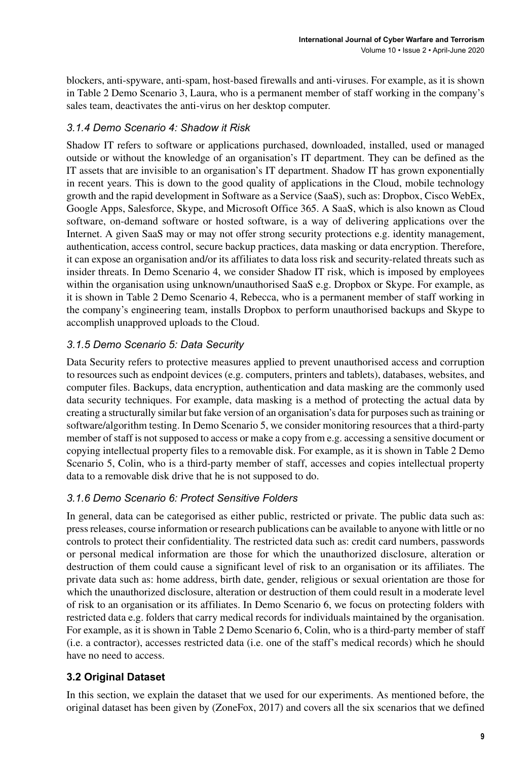blockers, anti-spyware, anti-spam, host-based firewalls and anti-viruses. For example, as it is shown in Table 2 Demo Scenario 3, Laura, who is a permanent member of staff working in the company's sales team, deactivates the anti-virus on her desktop computer.

# *3.1.4 Demo Scenario 4: Shadow it Risk*

Shadow IT refers to software or applications purchased, downloaded, installed, used or managed outside or without the knowledge of an organisation's IT department. They can be defined as the IT assets that are invisible to an organisation's IT department. Shadow IT has grown exponentially in recent years. This is down to the good quality of applications in the Cloud, mobile technology growth and the rapid development in Software as a Service (SaaS), such as: Dropbox, Cisco WebEx, Google Apps, Salesforce, Skype, and Microsoft Office 365. A SaaS, which is also known as Cloud software, on-demand software or hosted software, is a way of delivering applications over the Internet. A given SaaS may or may not offer strong security protections e.g. identity management, authentication, access control, secure backup practices, data masking or data encryption. Therefore, it can expose an organisation and/or its affiliates to data loss risk and security-related threats such as insider threats. In Demo Scenario 4, we consider Shadow IT risk, which is imposed by employees within the organisation using unknown/unauthorised SaaS e.g. Dropbox or Skype. For example, as it is shown in Table 2 Demo Scenario 4, Rebecca, who is a permanent member of staff working in the company's engineering team, installs Dropbox to perform unauthorised backups and Skype to accomplish unapproved uploads to the Cloud.

# *3.1.5 Demo Scenario 5: Data Security*

Data Security refers to protective measures applied to prevent unauthorised access and corruption to resources such as endpoint devices (e.g. computers, printers and tablets), databases, websites, and computer files. Backups, data encryption, authentication and data masking are the commonly used data security techniques. For example, data masking is a method of protecting the actual data by creating a structurally similar but fake version of an organisation's data for purposessuch astraining or software/algorithm testing. In Demo Scenario 5, we consider monitoring resources that a third-party member of staff is not supposed to access or make a copy from e.g. accessing a sensitive document or copying intellectual property files to a removable disk. For example, as it is shown in Table 2 Demo Scenario 5, Colin, who is a third-party member of staff, accesses and copies intellectual property data to a removable disk drive that he is not supposed to do.

# *3.1.6 Demo Scenario 6: Protect Sensitive Folders*

In general, data can be categorised as either public, restricted or private. The public data such as: pressreleases, course information or research publications can be available to anyone with little or no controls to protect their confidentiality. The restricted data such as: credit card numbers, passwords or personal medical information are those for which the unauthorized disclosure, alteration or destruction of them could cause a significant level of risk to an organisation or its affiliates. The private data such as: home address, birth date, gender, religious or sexual orientation are those for which the unauthorized disclosure, alteration or destruction of them could result in a moderate level of risk to an organisation or its affiliates. In Demo Scenario 6, we focus on protecting folders with restricted data e.g. folders that carry medical records for individuals maintained by the organisation. For example, as it is shown in Table 2 Demo Scenario 6, Colin, who is a third-party member of staff (i.e. a contractor), accesses restricted data (i.e. one of the staff's medical records) which he should have no need to access.

# **3.2 Original Dataset**

In this section, we explain the dataset that we used for our experiments. As mentioned before, the original dataset has been given by (ZoneFox, 2017) and covers all the six scenarios that we defined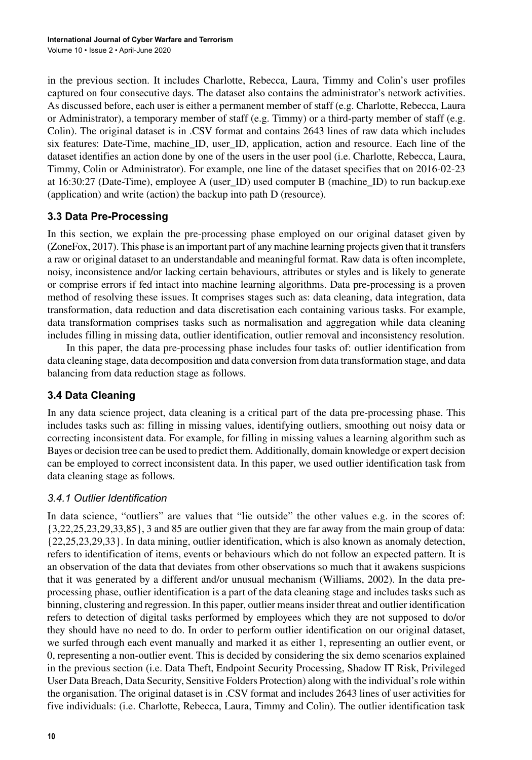in the previous section. It includes Charlotte, Rebecca, Laura, Timmy and Colin's user profiles captured on four consecutive days. The dataset also contains the administrator's network activities. As discussed before, each user is either a permanent member of staff (e.g. Charlotte, Rebecca, Laura or Administrator), a temporary member of staff (e.g. Timmy) or a third-party member of staff (e.g. Colin). The original dataset is in .CSV format and contains 2643 lines of raw data which includes six features: Date-Time, machine\_ID, user\_ID, application, action and resource. Each line of the dataset identifies an action done by one of the users in the user pool (i.e. Charlotte, Rebecca, Laura, Timmy, Colin or Administrator). For example, one line of the dataset specifies that on 2016-02-23 at 16:30:27 (Date-Time), employee A (user\_ID) used computer B (machine\_ID) to run backup.exe (application) and write (action) the backup into path D (resource).

# **3.3 Data Pre-Processing**

In this section, we explain the pre-processing phase employed on our original dataset given by (ZoneFox, 2017). This phase is an important part of any machine learning projects given that it transfers a raw or original dataset to an understandable and meaningful format. Raw data is often incomplete, noisy, inconsistence and/or lacking certain behaviours, attributes or styles and is likely to generate or comprise errors if fed intact into machine learning algorithms. Data pre-processing is a proven method of resolving these issues. It comprises stages such as: data cleaning, data integration, data transformation, data reduction and data discretisation each containing various tasks. For example, data transformation comprises tasks such as normalisation and aggregation while data cleaning includes filling in missing data, outlier identification, outlier removal and inconsistency resolution.

In this paper, the data pre-processing phase includes four tasks of: outlier identification from data cleaning stage, data decomposition and data conversion from data transformation stage, and data balancing from data reduction stage as follows.

# **3.4 Data Cleaning**

In any data science project, data cleaning is a critical part of the data pre-processing phase. This includes tasks such as: filling in missing values, identifying outliers, smoothing out noisy data or correcting inconsistent data. For example, for filling in missing values a learning algorithm such as Bayes or decision tree can be used to predict them. Additionally, domain knowledge or expert decision can be employed to correct inconsistent data. In this paper, we used outlier identification task from data cleaning stage as follows.

### *3.4.1 Outlier Identification*

In data science, "outliers" are values that "lie outside" the other values e.g. in the scores of: {3,22,25,23,29,33,85}, 3 and 85 are outlier given that they are far away from the main group of data: {22,25,23,29,33}. In data mining, outlier identification, which is also known as anomaly detection, refers to identification of items, events or behaviours which do not follow an expected pattern. It is an observation of the data that deviates from other observations so much that it awakens suspicions that it was generated by a different and/or unusual mechanism (Williams, 2002). In the data preprocessing phase, outlier identification is a part of the data cleaning stage and includes tasks such as binning, clustering and regression. In this paper, outlier meansinsider threat and outlier identification refers to detection of digital tasks performed by employees which they are not supposed to do/or they should have no need to do. In order to perform outlier identification on our original dataset, we surfed through each event manually and marked it as either 1, representing an outlier event, or 0, representing a non-outlier event. This is decided by considering the six demo scenarios explained in the previous section (i.e. Data Theft, Endpoint Security Processing, Shadow IT Risk, Privileged User Data Breach, Data Security, Sensitive Folders Protection) along with the individual'srole within the organisation. The original dataset is in .CSV format and includes 2643 lines of user activities for five individuals: (i.e. Charlotte, Rebecca, Laura, Timmy and Colin). The outlier identification task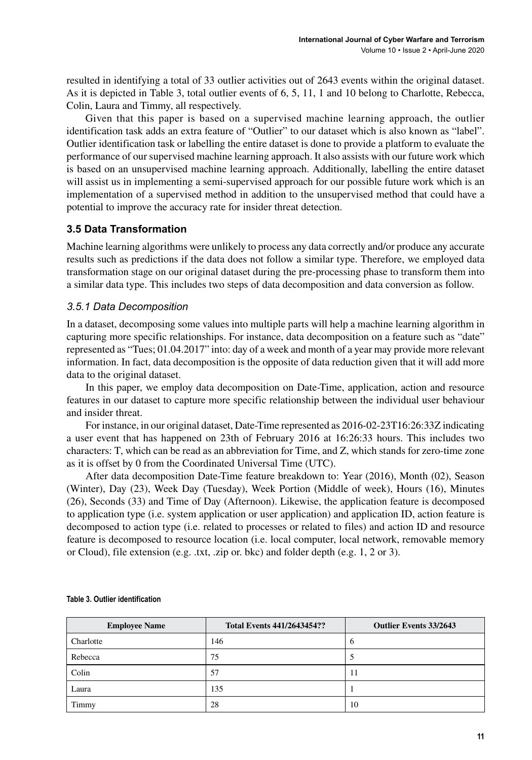resulted in identifying a total of 33 outlier activities out of 2643 events within the original dataset. As it is depicted in Table 3, total outlier events of 6, 5, 11, 1 and 10 belong to Charlotte, Rebecca, Colin, Laura and Timmy, all respectively.

Given that this paper is based on a supervised machine learning approach, the outlier identification task adds an extra feature of "Outlier" to our dataset which is also known as "label". Outlier identification task or labelling the entire dataset is done to provide a platform to evaluate the performance of our supervised machine learning approach. It also assists with our future work which is based on an unsupervised machine learning approach. Additionally, labelling the entire dataset will assist us in implementing a semi-supervised approach for our possible future work which is an implementation of a supervised method in addition to the unsupervised method that could have a potential to improve the accuracy rate for insider threat detection.

## **3.5 Data Transformation**

Machine learning algorithms were unlikely to process any data correctly and/or produce any accurate results such as predictions if the data does not follow a similar type. Therefore, we employed data transformation stage on our original dataset during the pre-processing phase to transform them into a similar data type. This includes two steps of data decomposition and data conversion as follow.

## *3.5.1 Data Decomposition*

In a dataset, decomposing some values into multiple parts will help a machine learning algorithm in capturing more specific relationships. For instance, data decomposition on a feature such as "date" represented as "Tues; 01.04.2017" into: day of a week and month of a year may provide more relevant information. In fact, data decomposition is the opposite of data reduction given that it will add more data to the original dataset.

In this paper, we employ data decomposition on Date-Time, application, action and resource features in our dataset to capture more specific relationship between the individual user behaviour and insider threat.

For instance, in our original dataset, Date-Time represented as 2016-02-23T16:26:33Z indicating a user event that has happened on 23th of February 2016 at 16:26:33 hours. This includes two characters: T, which can be read as an abbreviation for Time, and Z, which stands for zero-time zone as it is offset by 0 from the Coordinated Universal Time (UTC).

After data decomposition Date-Time feature breakdown to: Year (2016), Month (02), Season (Winter), Day (23), Week Day (Tuesday), Week Portion (Middle of week), Hours (16), Minutes (26), Seconds (33) and Time of Day (Afternoon). Likewise, the application feature is decomposed to application type (i.e. system application or user application) and application ID, action feature is decomposed to action type (i.e. related to processes or related to files) and action ID and resource feature is decomposed to resource location (i.e. local computer, local network, removable memory or Cloud), file extension (e.g. .txt, .zip or. bkc) and folder depth (e.g. 1, 2 or 3).

| <b>Employee Name</b> | <b>Total Events 441/2643454??</b> | <b>Outlier Events 33/2643</b> |
|----------------------|-----------------------------------|-------------------------------|
| Charlotte            | 146                               | $\sigma$                      |
| Rebecca              | 75                                |                               |
| Colin                | 57                                | 11                            |
| Laura                | 135                               |                               |
| Timmy                | 28                                | 10                            |

#### **Table 3. Outlier identification**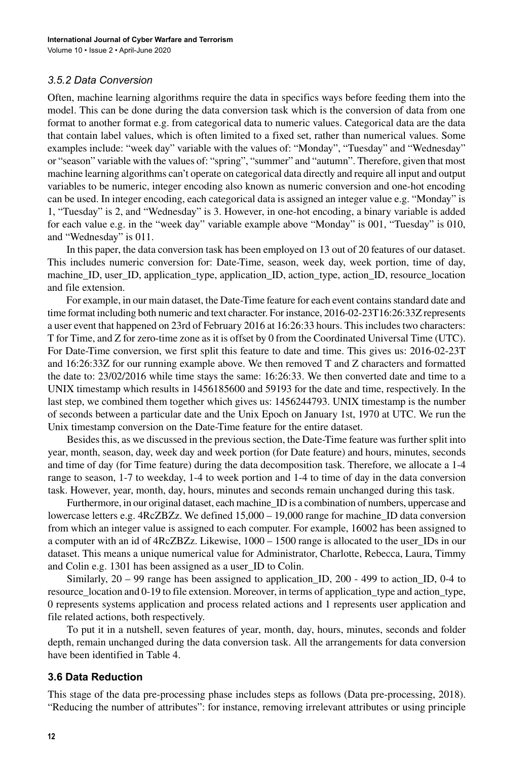#### *3.5.2 Data Conversion*

Often, machine learning algorithms require the data in specifics ways before feeding them into the model. This can be done during the data conversion task which is the conversion of data from one format to another format e.g. from categorical data to numeric values. Categorical data are the data that contain label values, which is often limited to a fixed set, rather than numerical values. Some examples include: "week day" variable with the values of: "Monday", "Tuesday" and "Wednesday" or "season" variable with the values of: "spring", "summer" and "autumn". Therefore, given that most machine learning algorithms can't operate on categorical data directly and require all input and output variables to be numeric, integer encoding also known as numeric conversion and one-hot encoding can be used. In integer encoding, each categorical data is assigned an integer value e.g. "Monday" is 1, "Tuesday" is 2, and "Wednesday" is 3. However, in one-hot encoding, a binary variable is added for each value e.g. in the "week day" variable example above "Monday" is 001, "Tuesday" is 010, and "Wednesday" is 011.

In this paper, the data conversion task has been employed on 13 out of 20 features of our dataset. This includes numeric conversion for: Date-Time, season, week day, week portion, time of day, machine\_ID, user\_ID, application\_type, application\_ID, action\_type, action\_ID, resource\_location and file extension.

For example, in our main dataset, the Date-Time feature for each event contains standard date and time format including both numeric and text character. For instance, 2016-02-23T16:26:33Z represents a user event that happened on 23rd of February 2016 at 16:26:33 hours. Thisincludestwo characters: T for Time, and Z for zero-time zone as it is offset by 0 from the Coordinated Universal Time (UTC). For Date-Time conversion, we first split this feature to date and time. This gives us: 2016-02-23T and 16:26:33Z for our running example above. We then removed T and Z characters and formatted the date to: 23/02/2016 while time stays the same: 16:26:33. We then converted date and time to a UNIX timestamp which results in 1456185600 and 59193 for the date and time, respectively. In the last step, we combined them together which gives us: 1456244793. UNIX timestamp is the number of seconds between a particular date and the Unix Epoch on January 1st, 1970 at UTC. We run the Unix timestamp conversion on the Date-Time feature for the entire dataset.

Besides this, as we discussed in the previous section, the Date-Time feature was further split into year, month, season, day, week day and week portion (for Date feature) and hours, minutes, seconds and time of day (for Time feature) during the data decomposition task. Therefore, we allocate a 1-4 range to season, 1-7 to weekday, 1-4 to week portion and 1-4 to time of day in the data conversion task. However, year, month, day, hours, minutes and seconds remain unchanged during this task.

Furthermore, in our original dataset, each machine\_ID is a combination of numbers, uppercase and lowercase letters e.g. 4RcZBZz. We defined 15,000 – 19,000 range for machine\_ID data conversion from which an integer value is assigned to each computer. For example, 16002 has been assigned to a computer with an id of 4RcZBZz. Likewise, 1000 – 1500 range is allocated to the user\_IDs in our dataset. This means a unique numerical value for Administrator, Charlotte, Rebecca, Laura, Timmy and Colin e.g. 1301 has been assigned as a user\_ID to Colin.

Similarly, 20 – 99 range has been assigned to application\_ID, 200 - 499 to action\_ID, 0-4 to resource\_location and 0-19 to file extension. Moreover, in terms of application\_type and action\_type, 0 represents systems application and process related actions and 1 represents user application and file related actions, both respectively.

To put it in a nutshell, seven features of year, month, day, hours, minutes, seconds and folder depth, remain unchanged during the data conversion task. All the arrangements for data conversion have been identified in Table 4.

#### **3.6 Data Reduction**

This stage of the data pre-processing phase includes steps as follows (Data pre-processing, 2018). "Reducing the number of attributes": for instance, removing irrelevant attributes or using principle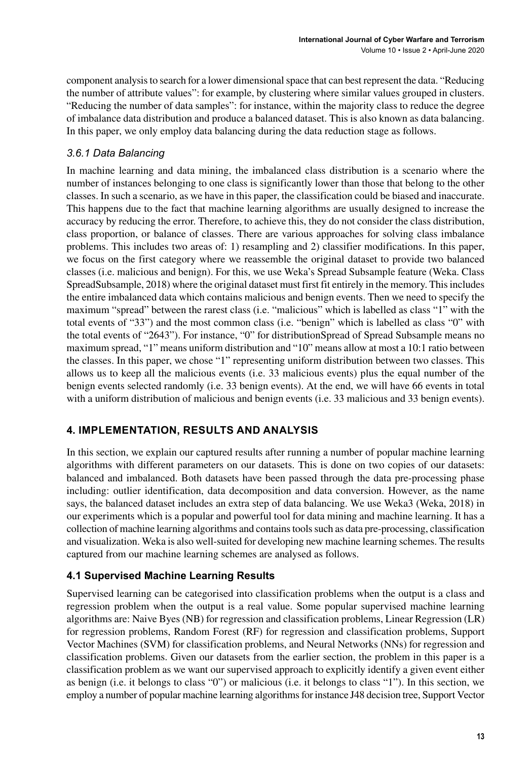component analysisto search for a lower dimensionalspace that can best represent the data. "Reducing the number of attribute values": for example, by clustering where similar values grouped in clusters. "Reducing the number of data samples": for instance, within the majority class to reduce the degree of imbalance data distribution and produce a balanced dataset. This is also known as data balancing. In this paper, we only employ data balancing during the data reduction stage as follows.

# *3.6.1 Data Balancing*

In machine learning and data mining, the imbalanced class distribution is a scenario where the number of instances belonging to one class is significantly lower than those that belong to the other classes. In such a scenario, as we have in this paper, the classification could be biased and inaccurate. This happens due to the fact that machine learning algorithms are usually designed to increase the accuracy by reducing the error. Therefore, to achieve this, they do not consider the class distribution, class proportion, or balance of classes. There are various approaches for solving class imbalance problems. This includes two areas of: 1) resampling and 2) classifier modifications. In this paper, we focus on the first category where we reassemble the original dataset to provide two balanced classes (i.e. malicious and benign). For this, we use Weka's Spread Subsample feature (Weka. Class SpreadSubsample, 2018) where the original dataset must first fit entirely in the memory. Thisincludes the entire imbalanced data which contains malicious and benign events. Then we need to specify the maximum "spread" between the rarest class (i.e. "malicious" which is labelled as class "1" with the total events of "33") and the most common class (i.e. "benign" which is labelled as class "0" with the total events of "2643"). For instance, "0" for distributionSpread of Spread Subsample means no maximum spread, "1" means uniform distribution and "10" means allow at most a 10:1 ratio between the classes. In this paper, we chose "1" representing uniform distribution between two classes. This allows us to keep all the malicious events (i.e. 33 malicious events) plus the equal number of the benign events selected randomly (i.e. 33 benign events). At the end, we will have 66 events in total with a uniform distribution of malicious and benign events (i.e. 33 malicious and 33 benign events).

# **4. IMPLEMENTATION, RESULTS AND ANALYSIS**

In this section, we explain our captured results after running a number of popular machine learning algorithms with different parameters on our datasets. This is done on two copies of our datasets: balanced and imbalanced. Both datasets have been passed through the data pre-processing phase including: outlier identification, data decomposition and data conversion. However, as the name says, the balanced dataset includes an extra step of data balancing. We use Weka3 (Weka, 2018) in our experiments which is a popular and powerful tool for data mining and machine learning. It has a collection of machine learning algorithms and containstoolssuch as data pre-processing, classification and visualization. Weka is also well-suited for developing new machine learning schemes. The results captured from our machine learning schemes are analysed as follows.

# **4.1 Supervised Machine Learning Results**

Supervised learning can be categorised into classification problems when the output is a class and regression problem when the output is a real value. Some popular supervised machine learning algorithms are: Naive Byes (NB) for regression and classification problems, Linear Regression (LR) for regression problems, Random Forest (RF) for regression and classification problems, Support Vector Machines (SVM) for classification problems, and Neural Networks (NNs) for regression and classification problems. Given our datasets from the earlier section, the problem in this paper is a classification problem as we want our supervised approach to explicitly identify a given event either as benign (i.e. it belongs to class "0") or malicious (i.e. it belongs to class "1"). In this section, we employ a number of popular machine learning algorithms for instance J48 decision tree, Support Vector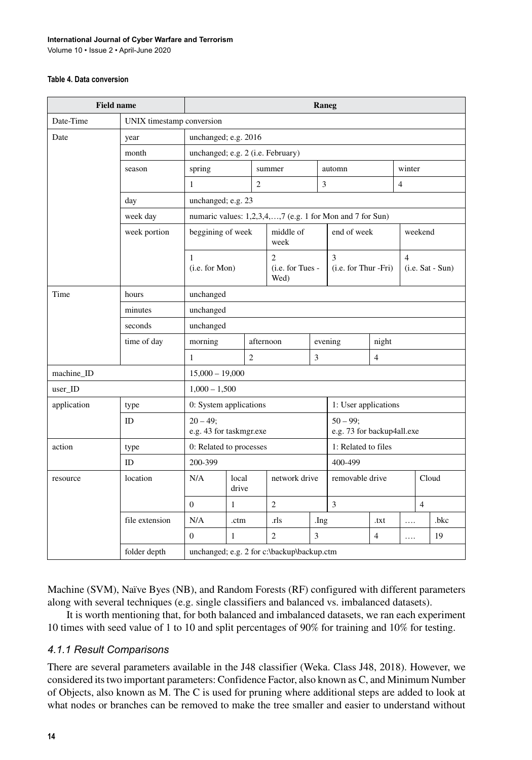#### **International Journal of Cyber Warfare and Terrorism**

Volume 10 • Issue 2 • April-June 2020

#### **Table 4. Data conversion**

| <b>Field name</b> |                | Raneg                                                                                                      |                |                |                                            |                             |                                           |                |                |  |       |
|-------------------|----------------|------------------------------------------------------------------------------------------------------------|----------------|----------------|--------------------------------------------|-----------------------------|-------------------------------------------|----------------|----------------|--|-------|
| Date-Time         |                | UNIX timestamp conversion                                                                                  |                |                |                                            |                             |                                           |                |                |  |       |
| Date              | year           | unchanged; e.g. 2016                                                                                       |                |                |                                            |                             |                                           |                |                |  |       |
|                   | month          | unchanged; e.g. 2 (i.e. February)                                                                          |                |                |                                            |                             |                                           |                |                |  |       |
|                   | season         | spring<br>summer                                                                                           |                |                |                                            |                             | automn                                    |                | winter         |  |       |
|                   |                | $\mathbf{1}$                                                                                               |                | $\overline{2}$ |                                            | $\ensuremath{\mathfrak{Z}}$ |                                           |                | $\overline{4}$ |  |       |
|                   | day            | unchanged; e.g. 23                                                                                         |                |                |                                            |                             |                                           |                |                |  |       |
|                   | week day       | numaric values: 1,2,3,4,,7 (e.g. 1 for Mon and 7 for Sun)                                                  |                |                |                                            |                             |                                           |                |                |  |       |
|                   | week portion   | beggining of week                                                                                          |                |                | middle of<br>week                          |                             | end of week                               |                | weekend        |  |       |
|                   |                | $\overline{c}$<br>3<br>$\mathbf{1}$<br>(i.e. for Mon)<br>(i.e. for Tues -<br>$(i.e. for Thur-Fri)$<br>Wed) |                |                |                                            |                             | $\overline{4}$<br>$(i.e. Sat - Sun)$      |                |                |  |       |
| Time              | hours          | unchanged                                                                                                  |                |                |                                            |                             |                                           |                |                |  |       |
|                   | minutes        | unchanged                                                                                                  |                |                |                                            |                             |                                           |                |                |  |       |
|                   | seconds        | unchanged                                                                                                  |                |                |                                            |                             |                                           |                |                |  |       |
|                   | time of day    | morning                                                                                                    |                | afternoon      |                                            |                             | evening<br>night                          |                |                |  |       |
|                   |                | $\mathbf{1}$                                                                                               |                | $\overline{c}$ |                                            | 3                           |                                           | $\overline{4}$ |                |  |       |
| machine ID        |                | $15,000 - 19,000$                                                                                          |                |                |                                            |                             |                                           |                |                |  |       |
| user_ID           |                | $1,000 - 1,500$                                                                                            |                |                |                                            |                             |                                           |                |                |  |       |
| application       | type           | 0: System applications                                                                                     |                |                |                                            |                             | 1: User applications                      |                |                |  |       |
|                   | ID             | $20 - 49;$<br>e.g. 43 for taskmgr.exe                                                                      |                |                |                                            |                             | $50 - 99$ :<br>e.g. 73 for backup4all.exe |                |                |  |       |
| action            | type           | 0: Related to processes                                                                                    |                |                |                                            |                             | 1: Related to files                       |                |                |  |       |
|                   | ID             | 200-399                                                                                                    |                |                |                                            |                             | 400-499                                   |                |                |  |       |
| resource          | location       | N/A                                                                                                        | local<br>drive |                | network drive                              |                             | removable drive                           |                |                |  | Cloud |
|                   |                | $\Omega$<br>$\mathbf{1}$                                                                                   |                | $\overline{2}$ |                                            | 3                           |                                           |                | $\overline{4}$ |  |       |
|                   | file extension | N/A                                                                                                        | .ctm           |                | .rls                                       | .Ing                        |                                           | .txt           | .              |  | .bkc  |
|                   |                | $\overline{0}$                                                                                             | $\mathbf{1}$   |                | $\overline{c}$                             | 3                           |                                           | $\overline{4}$ | .              |  | 19    |
|                   | folder depth   |                                                                                                            |                |                | unchanged; e.g. 2 for c:\backup\backup.ctm |                             |                                           |                |                |  |       |

Machine (SVM), Naïve Byes (NB), and Random Forests (RF) configured with different parameters along with several techniques (e.g. single classifiers and balanced vs. imbalanced datasets).

It is worth mentioning that, for both balanced and imbalanced datasets, we ran each experiment 10 times with seed value of 1 to 10 and split percentages of 90% for training and 10% for testing.

### *4.1.1 Result Comparisons*

There are several parameters available in the J48 classifier (Weka. Class J48, 2018). However, we considered itstwo important parameters: Confidence Factor, also known as C, and Minimum Number of Objects, also known as M. The C is used for pruning where additional steps are added to look at what nodes or branches can be removed to make the tree smaller and easier to understand without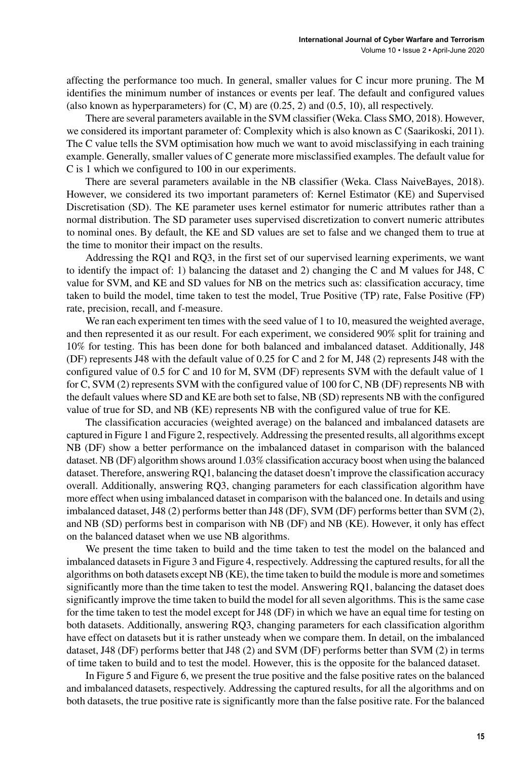affecting the performance too much. In general, smaller values for C incur more pruning. The M identifies the minimum number of instances or events per leaf. The default and configured values (also known as hyperparameters) for  $(C, M)$  are  $(0.25, 2)$  and  $(0.5, 10)$ , all respectively.

There are several parameters available in the SVM classifier (Weka. Class SMO, 2018). However, we considered its important parameter of: Complexity which is also known as C (Saarikoski, 2011). The C value tells the SVM optimisation how much we want to avoid misclassifying in each training example. Generally, smaller values of C generate more misclassified examples. The default value for C is 1 which we configured to 100 in our experiments.

There are several parameters available in the NB classifier (Weka. Class NaiveBayes, 2018). However, we considered its two important parameters of: Kernel Estimator (KE) and Supervised Discretisation (SD). The KE parameter uses kernel estimator for numeric attributes rather than a normal distribution. The SD parameter uses supervised discretization to convert numeric attributes to nominal ones. By default, the KE and SD values are set to false and we changed them to true at the time to monitor their impact on the results.

Addressing the RQ1 and RQ3, in the first set of our supervised learning experiments, we want to identify the impact of: 1) balancing the dataset and 2) changing the C and M values for J48, C value for SVM, and KE and SD values for NB on the metrics such as: classification accuracy, time taken to build the model, time taken to test the model, True Positive (TP) rate, False Positive (FP) rate, precision, recall, and f-measure.

We ran each experiment ten times with the seed value of 1 to 10, measured the weighted average, and then represented it as our result. For each experiment, we considered 90% split for training and 10% for testing. This has been done for both balanced and imbalanced dataset. Additionally, J48 (DF) represents J48 with the default value of 0.25 for C and 2 for M, J48 (2) represents J48 with the configured value of 0.5 for C and 10 for M, SVM (DF) represents SVM with the default value of 1 for C, SVM (2) represents SVM with the configured value of 100 for C, NB (DF) represents NB with the default values where SD and KE are both set to false, NB (SD) represents NB with the configured value of true for SD, and NB (KE) represents NB with the configured value of true for KE.

The classification accuracies (weighted average) on the balanced and imbalanced datasets are captured in Figure 1 and Figure 2, respectively. Addressing the presented results, all algorithms except NB (DF) show a better performance on the imbalanced dataset in comparison with the balanced dataset. NB (DF) algorithm shows around 1.03% classification accuracy boost when using the balanced dataset. Therefore, answering RQ1, balancing the dataset doesn't improve the classification accuracy overall. Additionally, answering RQ3, changing parameters for each classification algorithm have more effect when using imbalanced dataset in comparison with the balanced one. In details and using imbalanced dataset, J48 (2) performs better than J48 (DF), SVM (DF) performs better than SVM (2), and NB (SD) performs best in comparison with NB (DF) and NB (KE). However, it only has effect on the balanced dataset when we use NB algorithms.

We present the time taken to build and the time taken to test the model on the balanced and imbalanced datasetsin Figure 3 and Figure 4, respectively. Addressing the captured results, for all the algorithms on both datasets except NB (KE), the time taken to build the module is more and sometimes significantly more than the time taken to test the model. Answering RQ1, balancing the dataset does significantly improve the time taken to build the model for all seven algorithms. This is the same case for the time taken to test the model except for J48 (DF) in which we have an equal time for testing on both datasets. Additionally, answering RQ3, changing parameters for each classification algorithm have effect on datasets but it is rather unsteady when we compare them. In detail, on the imbalanced dataset, J48 (DF) performs better that J48 (2) and SVM (DF) performs better than SVM (2) in terms of time taken to build and to test the model. However, this is the opposite for the balanced dataset.

In Figure 5 and Figure 6, we present the true positive and the false positive rates on the balanced and imbalanced datasets, respectively. Addressing the captured results, for all the algorithms and on both datasets, the true positive rate is significantly more than the false positive rate. For the balanced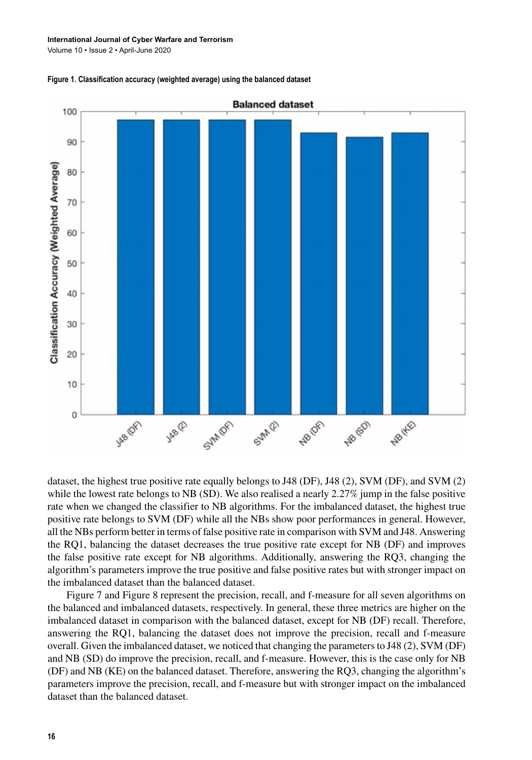Volume 10 • Issue 2 • April-June 2020





dataset, the highest true positive rate equally belongs to J48 (DF), J48 (2), SVM (DF), and SVM (2) while the lowest rate belongs to NB (SD). We also realised a nearly 2.27% jump in the false positive rate when we changed the classifier to NB algorithms. For the imbalanced dataset, the highest true positive rate belongs to SVM (DF) while all the NBs show poor performances in general. However, all the NBs perform better in terms of false positive rate in comparison with SVM and J48. Answering the RQ1, balancing the dataset decreases the true positive rate except for NB (DF) and improves the false positive rate except for NB algorithms. Additionally, answering the RQ3, changing the algorithm's parameters improve the true positive and false positive rates but with stronger impact on the imbalanced dataset than the balanced dataset.

Figure 7 and Figure 8 represent the precision, recall, and f-measure for all seven algorithms on the balanced and imbalanced datasets, respectively. In general, these three metrics are higher on the imbalanced dataset in comparison with the balanced dataset, except for NB (DF) recall. Therefore, answering the RQ1, balancing the dataset does not improve the precision, recall and f-measure overall. Given the imbalanced dataset, we noticed that changing the parametersto J48 (2), SVM (DF) and NB (SD) do improve the precision, recall, and f-measure. However, this is the case only for NB (DF) and NB (KE) on the balanced dataset. Therefore, answering the RQ3, changing the algorithm's parameters improve the precision, recall, and f-measure but with stronger impact on the imbalanced dataset than the balanced dataset.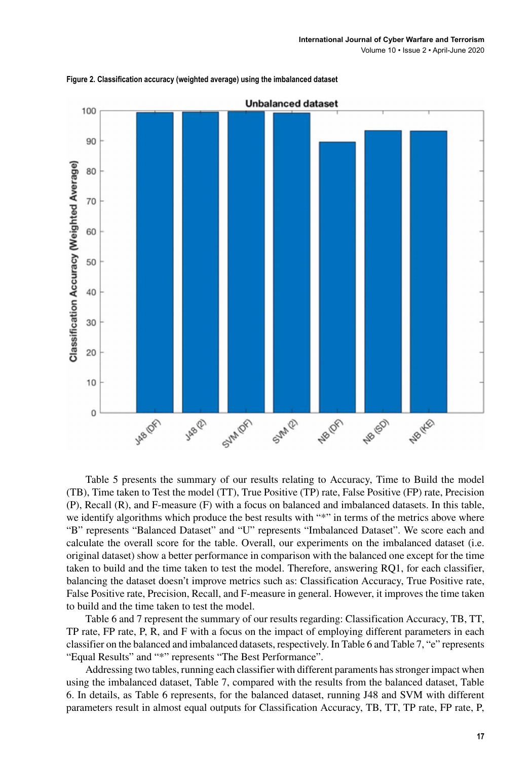

**Figure 2. Classification accuracy (weighted average) using the imbalanced dataset**

Table 5 presents the summary of our results relating to Accuracy, Time to Build the model (TB), Time taken to Test the model (TT), True Positive (TP) rate, False Positive (FP) rate, Precision (P), Recall (R), and F-measure (F) with a focus on balanced and imbalanced datasets. In this table, we identify algorithms which produce the best results with "\*" in terms of the metrics above where "B" represents "Balanced Dataset" and "U" represents "Imbalanced Dataset". We score each and calculate the overall score for the table. Overall, our experiments on the imbalanced dataset (i.e. original dataset) show a better performance in comparison with the balanced one except for the time taken to build and the time taken to test the model. Therefore, answering RQ1, for each classifier, balancing the dataset doesn't improve metrics such as: Classification Accuracy, True Positive rate, False Positive rate, Precision, Recall, and F-measure in general. However, it improves the time taken to build and the time taken to test the model.

Table 6 and 7 represent the summary of our results regarding: Classification Accuracy, TB, TT, TP rate, FP rate, P, R, and F with a focus on the impact of employing different parameters in each classifier on the balanced and imbalanced datasets, respectively. In Table 6 and Table 7, "e" represents "Equal Results" and "\*" represents "The Best Performance".

Addressing two tables, running each classifier with different paraments hasstronger impact when using the imbalanced dataset, Table 7, compared with the results from the balanced dataset, Table 6. In details, as Table 6 represents, for the balanced dataset, running J48 and SVM with different parameters result in almost equal outputs for Classification Accuracy, TB, TT, TP rate, FP rate, P,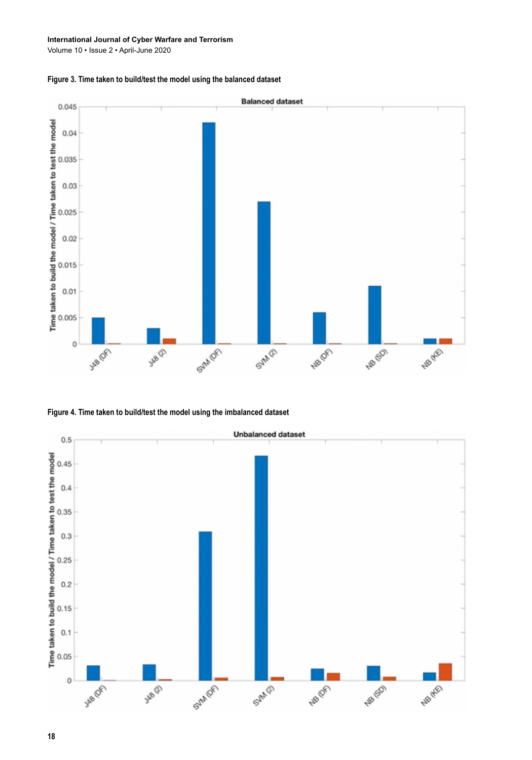#### **International Journal of Cyber Warfare and Terrorism**

Volume 10 • Issue 2 • April-June 2020





**Figure 4. Time taken to build/test the model using the imbalanced dataset**



**18**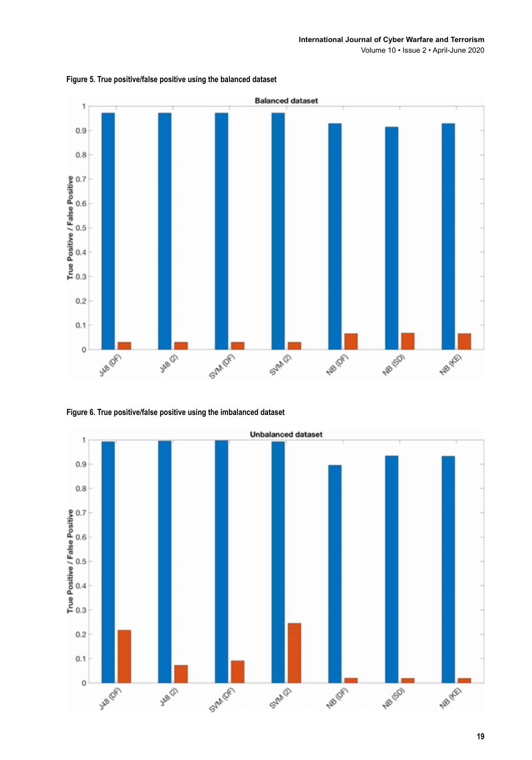Volume 10 • Issue 2 • April-June 2020



**Figure 5. True positive/false positive using the balanced dataset**



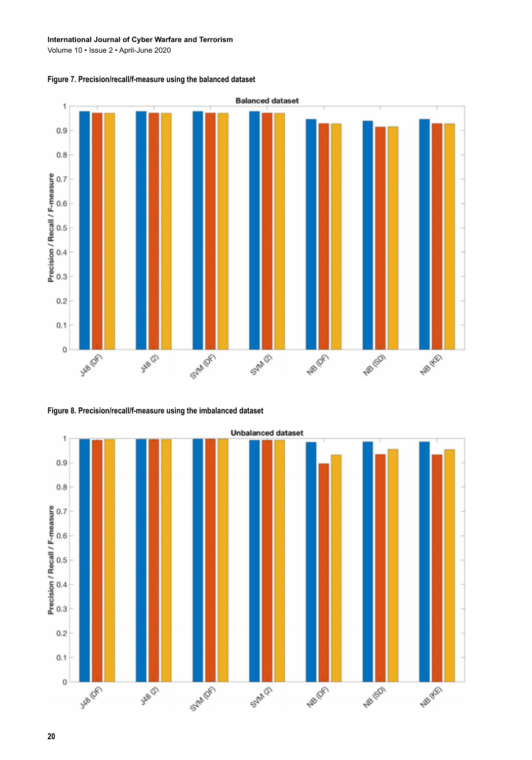#### **International Journal of Cyber Warfare and Terrorism**

Volume 10 • Issue 2 • April-June 2020

**Figure 7. Precision/recall/f-measure using the balanced dataset**



**Figure 8. Precision/recall/f-measure using the imbalanced dataset**



#### **20**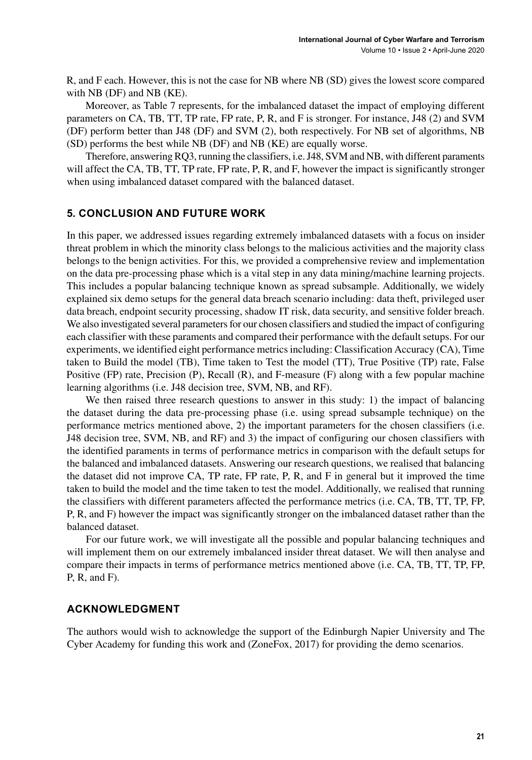R, and F each. However, this is not the case for NB where NB (SD) gives the lowest score compared with NB (DF) and NB (KE).

Moreover, as Table 7 represents, for the imbalanced dataset the impact of employing different parameters on CA, TB, TT, TP rate, FP rate, P, R, and F is stronger. For instance, J48 (2) and SVM (DF) perform better than J48 (DF) and SVM (2), both respectively. For NB set of algorithms, NB (SD) performs the best while NB (DF) and NB (KE) are equally worse.

Therefore, answering RQ3, running the classifiers, i.e. J48, SVM and NB, with different paraments will affect the CA, TB, TT, TP rate, FP rate, P, R, and F, however the impact is significantly stronger when using imbalanced dataset compared with the balanced dataset.

#### **5. CONCLUSION AND FUTURE WORK**

In this paper, we addressed issues regarding extremely imbalanced datasets with a focus on insider threat problem in which the minority class belongs to the malicious activities and the majority class belongs to the benign activities. For this, we provided a comprehensive review and implementation on the data pre-processing phase which is a vital step in any data mining/machine learning projects. This includes a popular balancing technique known as spread subsample. Additionally, we widely explained six demo setups for the general data breach scenario including: data theft, privileged user data breach, endpoint security processing, shadow IT risk, data security, and sensitive folder breach. We also investigated several parameters for our chosen classifiers and studied the impact of configuring each classifier with these paraments and compared their performance with the default setups. For our experiments, we identified eight performance metricsincluding: Classification Accuracy (CA), Time taken to Build the model (TB), Time taken to Test the model (TT), True Positive (TP) rate, False Positive (FP) rate, Precision (P), Recall (R), and F-measure (F) along with a few popular machine learning algorithms (i.e. J48 decision tree, SVM, NB, and RF).

We then raised three research questions to answer in this study: 1) the impact of balancing the dataset during the data pre-processing phase (i.e. using spread subsample technique) on the performance metrics mentioned above, 2) the important parameters for the chosen classifiers (i.e. J48 decision tree, SVM, NB, and RF) and 3) the impact of configuring our chosen classifiers with the identified paraments in terms of performance metrics in comparison with the default setups for the balanced and imbalanced datasets. Answering our research questions, we realised that balancing the dataset did not improve CA, TP rate, FP rate, P, R, and F in general but it improved the time taken to build the model and the time taken to test the model. Additionally, we realised that running the classifiers with different parameters affected the performance metrics (i.e. CA, TB, TT, TP, FP, P, R, and F) however the impact was significantly stronger on the imbalanced dataset rather than the balanced dataset.

For our future work, we will investigate all the possible and popular balancing techniques and will implement them on our extremely imbalanced insider threat dataset. We will then analyse and compare their impacts in terms of performance metrics mentioned above (i.e. CA, TB, TT, TP, FP, P, R, and F).

#### **ACKNOWLEDGMENT**

The authors would wish to acknowledge the support of the Edinburgh Napier University and The Cyber Academy for funding this work and (ZoneFox, 2017) for providing the demo scenarios.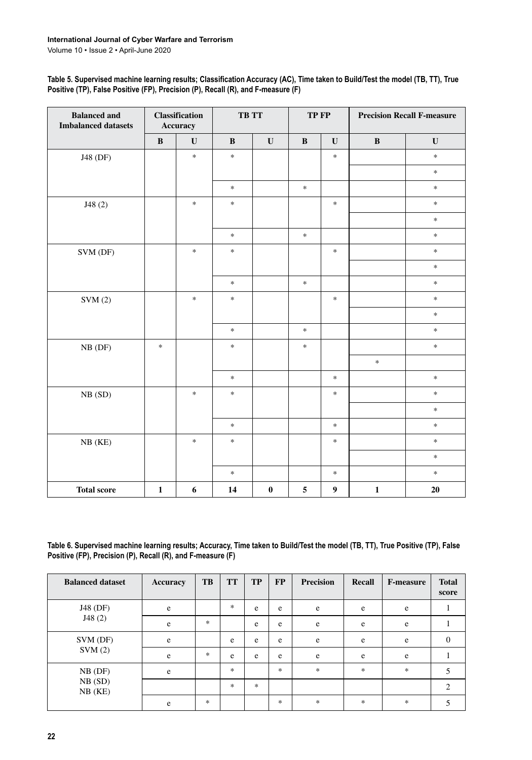| Table 5. Supervised machine learning results; Classification Accuracy (AC), Time taken to Build/Test the model (TB, TT), True |
|-------------------------------------------------------------------------------------------------------------------------------|
| Positive (TP), False Positive (FP), Precision (P), Recall (R), and F-measure (F)                                              |

| <b>Balanced and</b><br><b>Imbalanced datasets</b> |              | <b>Classification</b><br>Accuracy | TB TT                             |             | TP FP             |                  |              |                                   | <b>Precision Recall F-measure</b> |  |
|---------------------------------------------------|--------------|-----------------------------------|-----------------------------------|-------------|-------------------|------------------|--------------|-----------------------------------|-----------------------------------|--|
|                                                   | $\bf{B}$     | $\mathbf U$                       | $\, {\bf B}$                      | $\mathbf U$ | $\, {\bf B}$      | $\mathbf{U}$     | $\, {\bf B}$ | $\mathbf{U}$                      |                                   |  |
| J48 (DF)                                          |              | $\ast$                            | $\frac{d\mathbf{r}}{d\mathbf{r}}$ |             |                   | $\ast$           |              | $\frac{1}{2}$                     |                                   |  |
|                                                   |              |                                   |                                   |             |                   |                  |              | $\frac{1}{2}$                     |                                   |  |
|                                                   |              |                                   | $\frac{1}{2}$                     |             | $\frac{1}{2}$     |                  |              | $\frac{1}{2}$                     |                                   |  |
| J48(2)                                            |              | $\ast$                            | $\frac{d\mathbf{r}}{d\mathbf{r}}$ |             |                   | $\ast$           |              | $\frac{1}{25}$                    |                                   |  |
|                                                   |              |                                   |                                   |             |                   |                  |              | $\frac{1}{2}$                     |                                   |  |
|                                                   |              |                                   | $\frac{1}{2}$                     |             | $\frac{1}{2} \xi$ |                  |              | $\frac{1}{25}$                    |                                   |  |
| SVM (DF)                                          |              | $\ast$                            | $\frac{1}{2}$                     |             |                   | $\ast$           |              | $\frac{d\mathbf{r}}{d\mathbf{r}}$ |                                   |  |
|                                                   |              |                                   |                                   |             |                   |                  |              | $\frac{d\mathbf{r}}{d\mathbf{r}}$ |                                   |  |
|                                                   |              |                                   | $\frac{d\mathbf{r}}{d\mathbf{r}}$ |             | $\frac{1}{25}$    |                  |              | $\frac{1}{25}$                    |                                   |  |
| SVM(2)                                            |              | $\ast$                            | $\frac{d\mathbf{r}}{d\mathbf{r}}$ |             |                   | $\ast$           |              | $\frac{1}{2}$                     |                                   |  |
|                                                   |              |                                   |                                   |             |                   |                  |              | $\ast$                            |                                   |  |
|                                                   |              |                                   | $\frac{1}{2}$                     |             | $\frac{1}{2}$     |                  |              | $\frac{1}{2}$                     |                                   |  |
| $NB$ (DF)                                         | $\ast$       |                                   | $\frac{1}{2}$                     |             | $\approx$         |                  |              | $\frac{1}{2}$                     |                                   |  |
|                                                   |              |                                   |                                   |             |                   |                  | $\pm$        |                                   |                                   |  |
|                                                   |              |                                   | $\frac{1}{2}$                     |             |                   | $\ast$           |              | $\frac{d\mathbf{r}}{d\mathbf{r}}$ |                                   |  |
| NB(SD)                                            |              | $\ast$                            | $\frac{1}{2}$                     |             |                   | $\ast$           |              | $\frac{1}{25}$                    |                                   |  |
|                                                   |              |                                   |                                   |             |                   |                  |              | $\mathbf{R}$                      |                                   |  |
|                                                   |              |                                   | $\frac{1}{2}$                     |             |                   | $\ast$           |              | $\frac{d\mathbf{r}}{d\mathbf{r}}$ |                                   |  |
| NB(KE)                                            |              | $\ast$                            | $\frac{1}{2}$                     |             |                   | $\ast$           |              | $\frac{1}{2}$                     |                                   |  |
|                                                   |              |                                   |                                   |             |                   |                  |              | $\frac{1}{2}$                     |                                   |  |
|                                                   |              |                                   | $\frac{1}{2}$                     |             |                   | $\ast$           |              | $\frac{d\mathbf{r}}{d\mathbf{r}}$ |                                   |  |
| <b>Total score</b>                                | $\mathbf{1}$ | 6                                 | 14                                | $\pmb{0}$   | $\sqrt{5}$        | $\boldsymbol{9}$ | $\mathbf 1$  | $20\,$                            |                                   |  |

**Table 6. Supervised machine learning results; Accuracy, Time taken to Build/Test the model (TB, TT), True Positive (TP), False Positive (FP), Precision (P), Recall (R), and F-measure (F)**

| <b>Balanced dataset</b> | <b>Accuracy</b> | TB     | <b>TT</b> | <b>TP</b> | FP     | <b>Precision</b> | <b>Recall</b> | <b>F-measure</b> | <b>Total</b><br>score |
|-------------------------|-----------------|--------|-----------|-----------|--------|------------------|---------------|------------------|-----------------------|
| J48 (DF)                | e               |        | $\ast$    | e         | e      | e                | e             | e                |                       |
| J48(2)                  | e               | $\ast$ |           | e         | e      | e                | e             | $\rm e$          |                       |
| SVM (DF)                | e               |        | e         | e         | e      | e                | e             | e                | $\Omega$              |
| SVM(2)                  | e               | $\ast$ | e         | e         | e      | e                | e             | e                |                       |
| $NB$ (DF)               | e               |        | $\ast$    |           | $\ast$ | $\ast$           | $\ast$        | $\ast$           |                       |
| NB(SD)<br>$NB$ ( $KE$ ) |                 |        | $\ast$    | *         |        |                  |               |                  | $\overline{c}$        |
|                         | e               | $\ast$ |           |           | $\ast$ | $\ast$           | $\frac{1}{2}$ | $\ast$           |                       |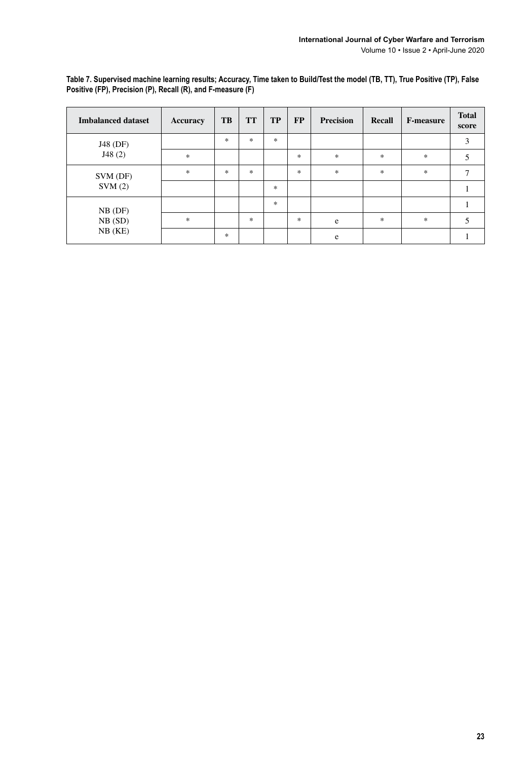| <b>Imbalanced dataset</b> | <b>Accuracy</b> | TB            | <b>TT</b>     | <b>TP</b>     | <b>FP</b>     | <b>Precision</b> | <b>Recall</b> | <b>F-measure</b> | <b>Total</b><br>score |
|---------------------------|-----------------|---------------|---------------|---------------|---------------|------------------|---------------|------------------|-----------------------|
| J48 (DF)                  |                 | $\mathcal{H}$ | $\frac{1}{2}$ | $\frac{1}{2}$ |               |                  |               |                  | 3                     |
| J48(2)                    | $\frac{1}{2}$   |               |               |               | $\frac{1}{2}$ | *                | $\frac{1}{2}$ | $\frac{1}{2}$    |                       |
| SVM (DF)                  | $\frac{1}{2}$   | $\mathcal{H}$ | $\ast$        |               | $\ast$        | $\frac{1}{2}$    | $\frac{1}{2}$ | $\ast$           |                       |
| SVM(2)                    |                 |               |               | $\frac{1}{2}$ |               |                  |               |                  |                       |
| $NB$ (DF)                 |                 |               |               | $\frac{1}{2}$ |               |                  |               |                  |                       |
| NB(SD)                    | $\frac{1}{2}$   |               | $\ast$        |               | $\ast$        | e                | $\frac{1}{2}$ | $\ast$           |                       |
| $NB$ ( $KE$ )             |                 | $\ast$        |               |               |               | e                |               |                  |                       |

**Table 7. Supervised machine learning results; Accuracy, Time taken to Build/Test the model (TB, TT), True Positive (TP), False Positive (FP), Precision (P), Recall (R), and F-measure (F)**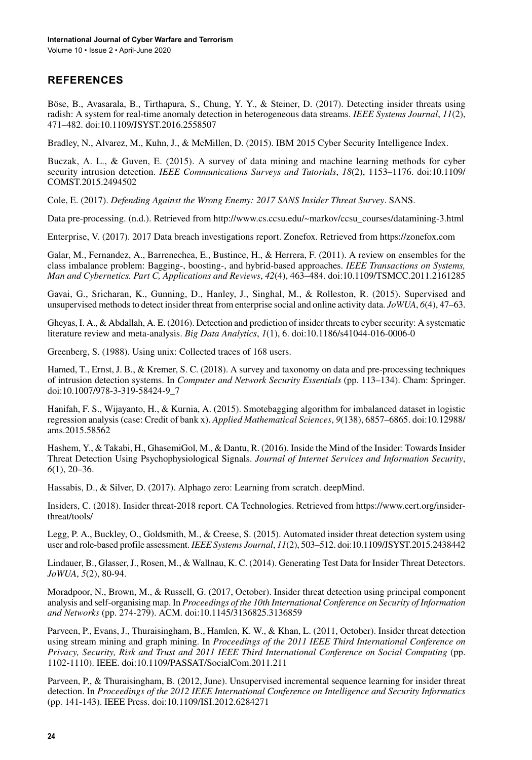Volume 10 • Issue 2 • April-June 2020

## **REFERENCES**

Böse, B., Avasarala, B., Tirthapura, S., Chung, Y. Y., & Steiner, D. (2017). Detecting insider threats using radish: A system for real-time anomaly detection in heterogeneous data streams. *IEEE Systems Journal*, *11*(2), 471–482. doi[:10.1109/JSYST.2016.2558507](http://dx.doi.org/10.1109/JSYST.2016.2558507)

Bradley, N., Alvarez, M., Kuhn, J., & McMillen, D. (2015). IBM 2015 Cyber Security Intelligence Index.

Buczak, A. L., & Guven, E. (2015). A survey of data mining and machine learning methods for cyber security intrusion detection. *IEEE Communications Surveys and Tutorials*, *18*(2), 1153–1176. doi[:10.1109/](http://dx.doi.org/10.1109/COMST.2015.2494502) [COMST.2015.2494502](http://dx.doi.org/10.1109/COMST.2015.2494502)

Cole, E. (2017). *Defending Against the Wrong Enemy: 2017 SANS Insider Threat Survey*. SANS.

Data pre-processing. (n.d.). Retrieved from [http://www.cs.ccsu.edu/~markov/ccsu\\_courses/datamining-3.html](http://www.cs.ccsu.edu/~markov/ccsu_courses/datamining-3.html)

Enterprise, V. (2017). 2017 Data breach investigations report. Zonefox. Retrieved from <https://zonefox.com>

Galar, M., Fernandez, A., Barrenechea, E., Bustince, H., & Herrera, F. (2011). A review on ensembles for the class imbalance problem: Bagging-, boosting-, and hybrid-based approaches. *IEEE Transactions on Systems, Man and Cybernetics. Part C, Applications and Reviews*, *42*(4), 463–484. doi:[10.1109/TSMCC.2011.2161285](http://dx.doi.org/10.1109/TSMCC.2011.2161285)

Gavai, G., Sricharan, K., Gunning, D., Hanley, J., Singhal, M., & Rolleston, R. (2015). Supervised and unsupervised methods to detect insider threat from enterprise social and online activity data. *JoWUA*,  $6(4)$ , 47–63.

Gheyas, I. A., & Abdallah, A. E. (2016). Detection and prediction of insider threats to cyber security: A systematic literature review and meta-analysis. *Big Data Analytics*, *1*(1), 6. doi[:10.1186/s41044-016-0006-0](http://dx.doi.org/10.1186/s41044-016-0006-0)

Greenberg, S. (1988). Using unix: Collected traces of 168 users.

Hamed, T., Ernst, J. B., & Kremer, S. C. (2018). A survey and taxonomy on data and pre-processing techniques of intrusion detection systems. In *Computer and Network Security Essentials* (pp. 113–134). Cham: Springer. doi:[10.1007/978-3-319-58424-9\\_7](http://dx.doi.org/10.1007/978-3-319-58424-9_7)

Hanifah, F. S., Wijayanto, H., & Kurnia, A. (2015). Smotebagging algorithm for imbalanced dataset in logistic regression analysis (case: Credit of bank x). *Applied Mathematical Sciences*, *9*(138), 6857–6865. doi:[10.12988/](http://dx.doi.org/10.12988/ams.2015.58562) [ams.2015.58562](http://dx.doi.org/10.12988/ams.2015.58562)

Hashem, Y., & Takabi, H., GhasemiGol, M., & Dantu, R. (2016). Inside the Mind of the Insider: Towards Insider Threat Detection Using Psychophysiological Signals. *Journal of Internet Services and Information Security*, *6*(1), 20–36.

Hassabis, D., & Silver, D. (2017). Alphago zero: Learning from scratch. deepMind.

Insiders, C. (2018). Insider threat-2018 report. CA Technologies. Retrieved from [https://www.cert.org/insider](https://www.cert.org/insider-threat/tools/)[threat/tools/](https://www.cert.org/insider-threat/tools/)

Legg, P. A., Buckley, O., Goldsmith, M., & Creese, S. (2015). Automated insider threat detection system using user and role-based profile assessment. *IEEE Systems Journal*, *11*(2), 503–512. doi[:10.1109/JSYST.2015.2438442](http://dx.doi.org/10.1109/JSYST.2015.2438442)

Lindauer, B., Glasser,J., Rosen, M., & Wallnau, K. C. (2014). Generating Test Data for Insider Threat Detectors. *JoWUA*, *5*(2), 80-94.

Moradpoor, N., Brown, M., & Russell, G. (2017, October). Insider threat detection using principal component analysis and self-organising map. In *Proceedings of the 10th International Conference on Security of Information and Networks* (pp. 274-279). ACM. doi[:10.1145/3136825.3136859](http://dx.doi.org/10.1145/3136825.3136859)

Parveen, P., Evans, J., Thuraisingham, B., Hamlen, K. W., & Khan, L. (2011, October). Insider threat detection using stream mining and graph mining. In *Proceedings of the 2011 IEEE Third International Conference on Privacy, Security, Risk and Trust and 2011 IEEE Third International Conference on Social Computing* (pp. 1102-1110). IEEE. doi[:10.1109/PASSAT/SocialCom.2011.211](http://dx.doi.org/10.1109/PASSAT/SocialCom.2011.211)

Parveen, P., & Thuraisingham, B. (2012, June). Unsupervised incremental sequence learning for insider threat detection. In *Proceedings of the 2012 IEEE International Conference on Intelligence and Security Informatics* (pp. 141-143). IEEE Press. doi[:10.1109/ISI.2012.6284271](http://dx.doi.org/10.1109/ISI.2012.6284271)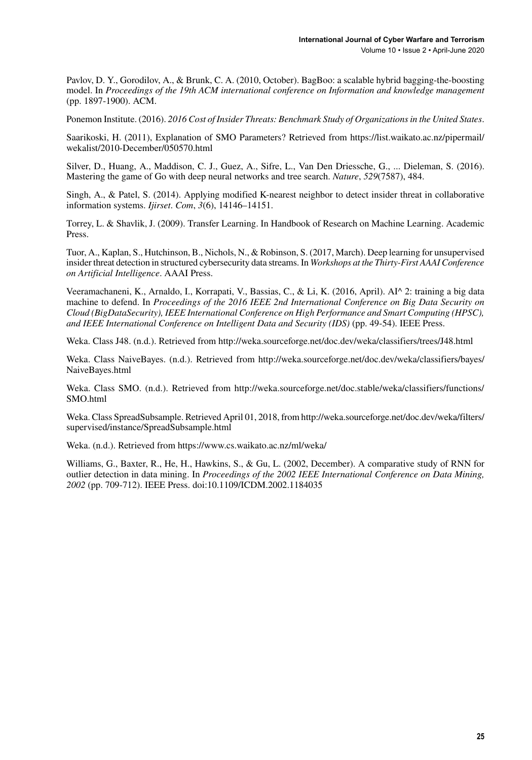Pavlov, D. Y., Gorodilov, A., & Brunk, C. A. (2010, October). BagBoo: a scalable hybrid bagging-the-boosting model. In *Proceedings of the 19th ACM international conference on Information and knowledge management* (pp. 1897-1900). ACM.

Ponemon Institute. (2016). *2016 Cost of Insider Threats: Benchmark Study of Organizations in the United States*.

Saarikoski, H. (2011), Explanation of SMO Parameters? Retrieved from [https://list.waikato.ac.nz/pipermail/](https://list.waikato.ac.nz/pipermail/wekalist/2010-December/050570.html) [wekalist/2010-December/050570.html](https://list.waikato.ac.nz/pipermail/wekalist/2010-December/050570.html)

Silver, D., Huang, A., Maddison, C. J., Guez, A., Sifre, L., Van Den Driessche, G., ... Dieleman, S. (2016). Mastering the game of Go with deep neural networks and tree search. *Nature*, *529*(7587), 484.

Singh, A., & Patel, S. (2014). Applying modified K-nearest neighbor to detect insider threat in collaborative information systems. *Ijirset*. *Com*, *3*(6), 14146–14151.

Torrey, L. & Shavlik, J. (2009). Transfer Learning. In Handbook of Research on Machine Learning. Academic Press.

Tuor, A., Kaplan, S., Hutchinson, B., Nichols, N., & Robinson, S. (2017, March). Deep learning for unsupervised insider threat detection in structured cybersecurity data streams. In *Workshops at the Thirty-First AAAI Conference on Artificial Intelligence*. AAAI Press.

Veeramachaneni, K., Arnaldo, I., Korrapati, V., Bassias, C., & Li, K. (2016, April). AI^ 2: training a big data machine to defend. In *Proceedings of the 2016 IEEE 2nd International Conference on Big Data Security on Cloud (BigDataSecurity), IEEE International Conference on High Performance and Smart Computing (HPSC), and IEEE International Conference on Intelligent Data and Security (IDS)* (pp. 49-54). IEEE Press.

Weka. Class J48. (n.d.). Retrieved from <http://weka.sourceforge.net/doc.dev/weka/classifiers/trees/J48.html>

Weka. Class NaiveBayes. (n.d.). Retrieved from [http://weka.sourceforge.net/doc.dev/weka/classifiers/bayes/](http://weka.sourceforge.net/doc.dev/weka/classifiers/bayes/NaiveBayes.html) [NaiveBayes.html](http://weka.sourceforge.net/doc.dev/weka/classifiers/bayes/NaiveBayes.html)

Weka. Class SMO. (n.d.). Retrieved from [http://weka.sourceforge.net/doc.stable/weka/classifiers/functions/](http://weka.sourceforge.net/doc.stable/weka/classifiers/functions/SMO.html) [SMO.html](http://weka.sourceforge.net/doc.stable/weka/classifiers/functions/SMO.html)

Weka. Class SpreadSubsample. Retrieved April 01, 2018, from [http://weka.sourceforge.net/doc.dev/weka/filters/](http://weka.sourceforge.net/doc.dev/weka/filters/supervised/instance/SpreadSubsample.html) [supervised/instance/SpreadSubsample.html](http://weka.sourceforge.net/doc.dev/weka/filters/supervised/instance/SpreadSubsample.html)

Weka. (n.d.). Retrieved from <https://www.cs.waikato.ac.nz/ml/weka/>

Williams, G., Baxter, R., He, H., Hawkins, S., & Gu, L. (2002, December). A comparative study of RNN for outlier detection in data mining. In *Proceedings of the 2002 IEEE International Conference on Data Mining, 2002* (pp. 709-712). IEEE Press. doi[:10.1109/ICDM.2002.1184035](http://dx.doi.org/10.1109/ICDM.2002.1184035)